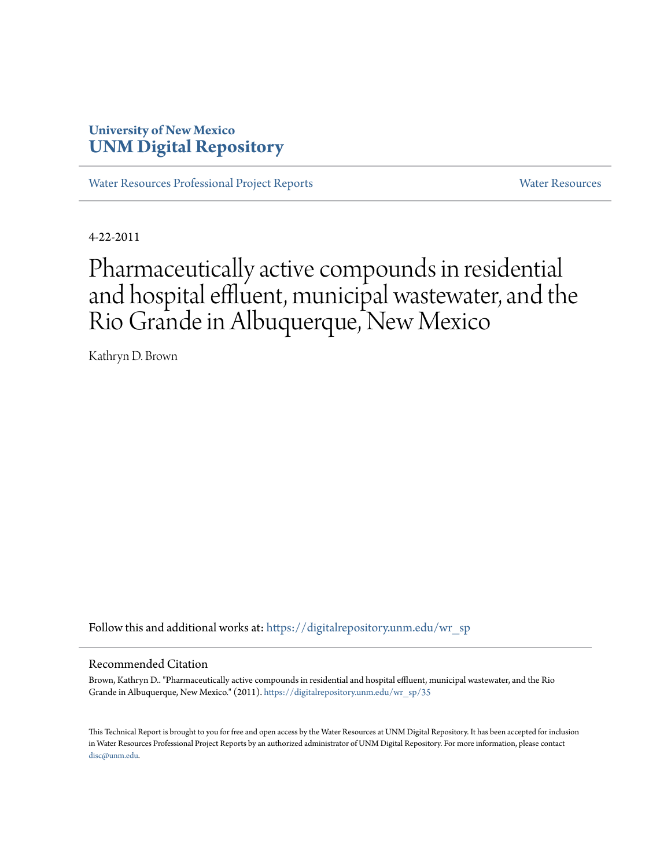# **University of New Mexico [UNM Digital Repository](https://digitalrepository.unm.edu?utm_source=digitalrepository.unm.edu%2Fwr_sp%2F35&utm_medium=PDF&utm_campaign=PDFCoverPages)**

[Water Resources Professional Project Reports](https://digitalrepository.unm.edu/wr_sp?utm_source=digitalrepository.unm.edu%2Fwr_sp%2F35&utm_medium=PDF&utm_campaign=PDFCoverPages) **[Water Resources](https://digitalrepository.unm.edu/wr?utm_source=digitalrepository.unm.edu%2Fwr_sp%2F35&utm_medium=PDF&utm_campaign=PDFCoverPages)** Water Resources

4-22-2011

# Pharmaceutically active compounds in residential and hospital effluent, municipal wastewater, and the Rio Grande in Albuquerque, New Mexico

Kathryn D. Brown

Follow this and additional works at: [https://digitalrepository.unm.edu/wr\\_sp](https://digitalrepository.unm.edu/wr_sp?utm_source=digitalrepository.unm.edu%2Fwr_sp%2F35&utm_medium=PDF&utm_campaign=PDFCoverPages)

#### Recommended Citation

Brown, Kathryn D.. "Pharmaceutically active compounds in residential and hospital effluent, municipal wastewater, and the Rio Grande in Albuquerque, New Mexico." (2011). [https://digitalrepository.unm.edu/wr\\_sp/35](https://digitalrepository.unm.edu/wr_sp/35?utm_source=digitalrepository.unm.edu%2Fwr_sp%2F35&utm_medium=PDF&utm_campaign=PDFCoverPages)

This Technical Report is brought to you for free and open access by the Water Resources at UNM Digital Repository. It has been accepted for inclusion in Water Resources Professional Project Reports by an authorized administrator of UNM Digital Repository. For more information, please contact [disc@unm.edu](mailto:disc@unm.edu).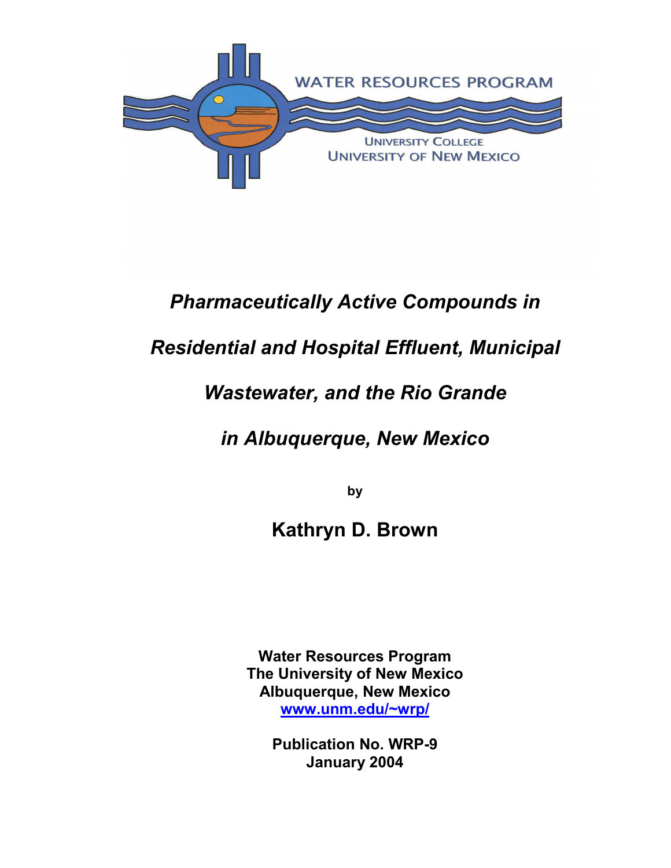

# *Pharmaceutically Active Compounds in*

# *Residential and Hospital Effluent, Municipal*

# *Wastewater, and the Rio Grande*

# *in Albuquerque, New Mexico*

**by** 

# **Kathryn D. Brown**

**Water Resources Program The University of New Mexico Albuquerque, New Mexico www.unm.edu/~wrp/**

> **Publication No. WRP-9 January 2004**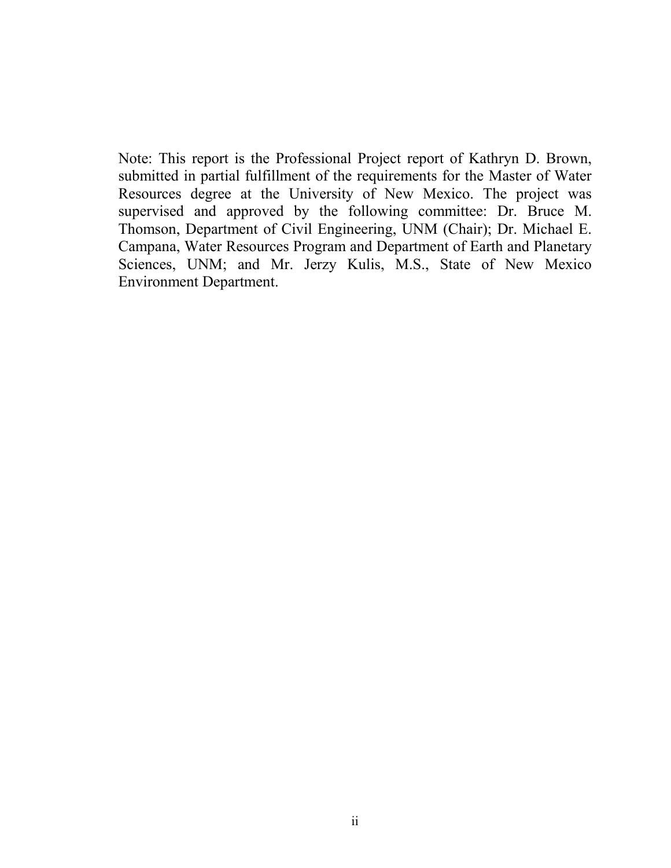Note: This report is the Professional Project report of Kathryn D. Brown, submitted in partial fulfillment of the requirements for the Master of Water Resources degree at the University of New Mexico. The project was supervised and approved by the following committee: Dr. Bruce M. Thomson, Department of Civil Engineering, UNM (Chair); Dr. Michael E. Campana, Water Resources Program and Department of Earth and Planetary Sciences, UNM; and Mr. Jerzy Kulis, M.S., State of New Mexico Environment Department.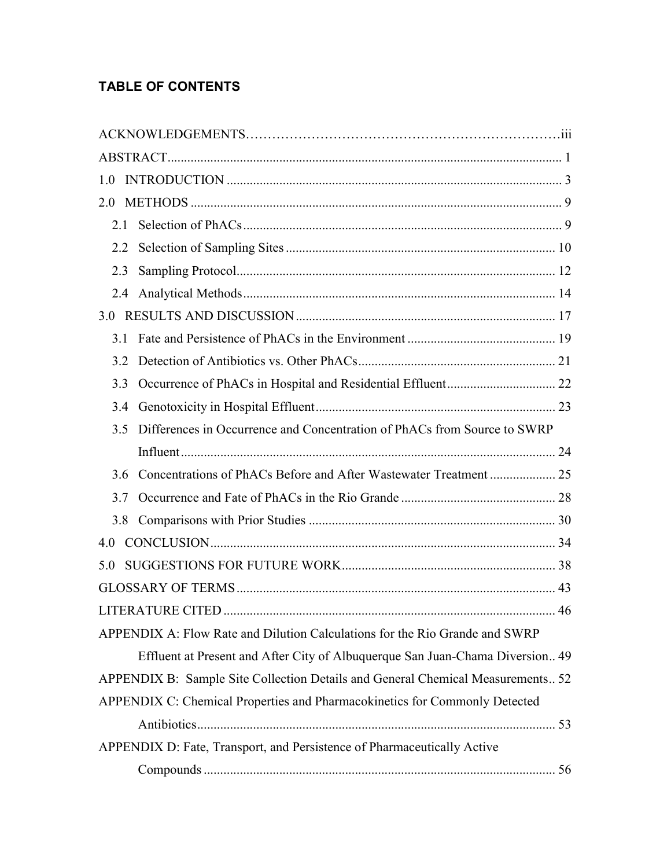# **TABLE OF CONTENTS**

| 1.0 |     |                                                                                 |  |
|-----|-----|---------------------------------------------------------------------------------|--|
| 2.0 |     |                                                                                 |  |
| 2.1 |     |                                                                                 |  |
| 2.2 |     |                                                                                 |  |
| 2.3 |     |                                                                                 |  |
|     | 2.4 |                                                                                 |  |
| 3.0 |     |                                                                                 |  |
| 31  |     |                                                                                 |  |
| 3.2 |     |                                                                                 |  |
| 3.3 |     |                                                                                 |  |
| 3.4 |     |                                                                                 |  |
| 3.5 |     | Differences in Occurrence and Concentration of PhACs from Source to SWRP        |  |
|     |     |                                                                                 |  |
| 36  |     |                                                                                 |  |
| 3.7 |     |                                                                                 |  |
| 3.8 |     |                                                                                 |  |
| 4.0 |     |                                                                                 |  |
| 50  |     |                                                                                 |  |
|     |     |                                                                                 |  |
|     |     |                                                                                 |  |
|     |     | APPENDIX A: Flow Rate and Dilution Calculations for the Rio Grande and SWRP     |  |
|     |     | Effluent at Present and After City of Albuquerque San Juan-Chama Diversion 49   |  |
|     |     | APPENDIX B: Sample Site Collection Details and General Chemical Measurements 52 |  |
|     |     | APPENDIX C: Chemical Properties and Pharmacokinetics for Commonly Detected      |  |
|     |     |                                                                                 |  |
|     |     | APPENDIX D: Fate, Transport, and Persistence of Pharmaceutically Active         |  |
|     |     |                                                                                 |  |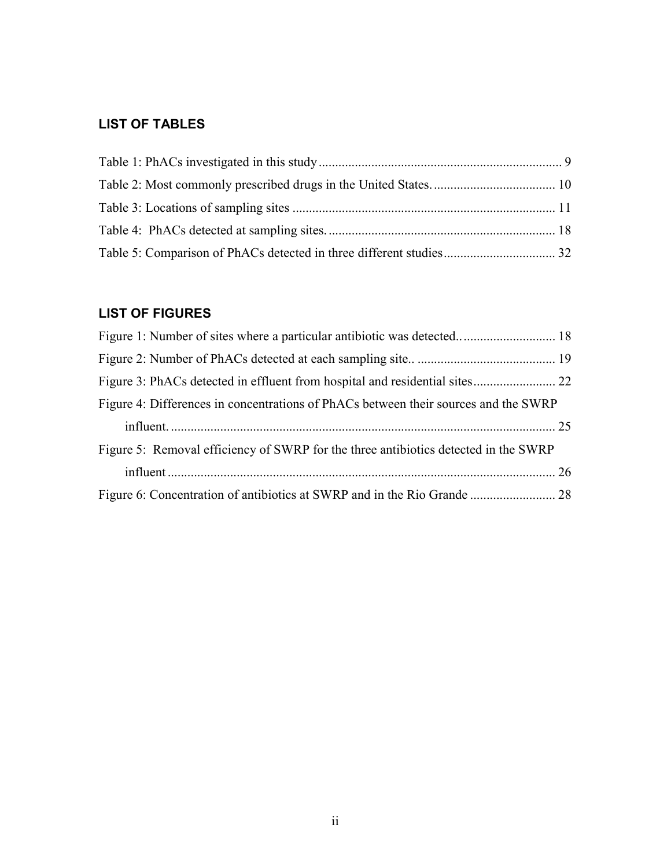# **LIST OF TABLES**

# **LIST OF FIGURES**

| Figure 4: Differences in concentrations of PhACs between their sources and the SWRP |  |
|-------------------------------------------------------------------------------------|--|
|                                                                                     |  |
| Figure 5: Removal efficiency of SWRP for the three antibiotics detected in the SWRP |  |
|                                                                                     |  |
|                                                                                     |  |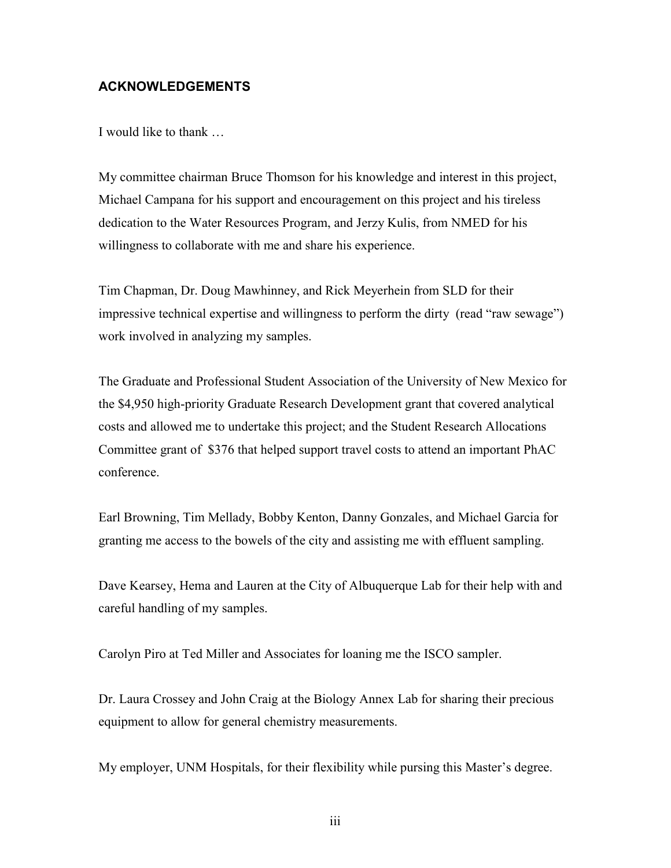### **ACKNOWLEDGEMENTS**

I would like to thank …

My committee chairman Bruce Thomson for his knowledge and interest in this project, Michael Campana for his support and encouragement on this project and his tireless dedication to the Water Resources Program, and Jerzy Kulis, from NMED for his willingness to collaborate with me and share his experience.

Tim Chapman, Dr. Doug Mawhinney, and Rick Meyerhein from SLD for their impressive technical expertise and willingness to perform the dirty (read "raw sewage") work involved in analyzing my samples.

The Graduate and Professional Student Association of the University of New Mexico for the \$4,950 high-priority Graduate Research Development grant that covered analytical costs and allowed me to undertake this project; and the Student Research Allocations Committee grant of \$376 that helped support travel costs to attend an important PhAC conference.

Earl Browning, Tim Mellady, Bobby Kenton, Danny Gonzales, and Michael Garcia for granting me access to the bowels of the city and assisting me with effluent sampling.

Dave Kearsey, Hema and Lauren at the City of Albuquerque Lab for their help with and careful handling of my samples.

Carolyn Piro at Ted Miller and Associates for loaning me the ISCO sampler.

Dr. Laura Crossey and John Craig at the Biology Annex Lab for sharing their precious equipment to allow for general chemistry measurements.

My employer, UNM Hospitals, for their flexibility while pursing this Master's degree.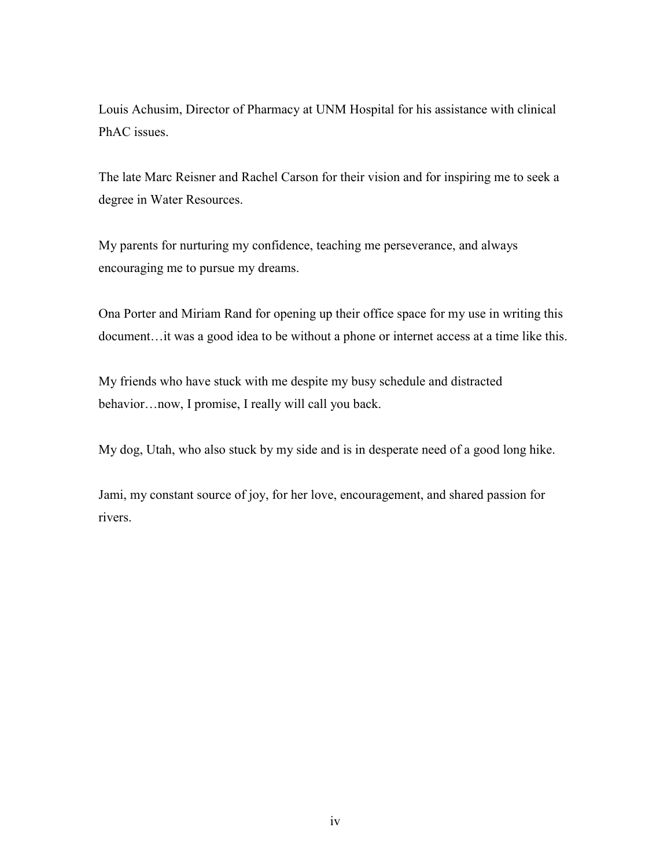Louis Achusim, Director of Pharmacy at UNM Hospital for his assistance with clinical PhAC issues.

The late Marc Reisner and Rachel Carson for their vision and for inspiring me to seek a degree in Water Resources.

My parents for nurturing my confidence, teaching me perseverance, and always encouraging me to pursue my dreams.

Ona Porter and Miriam Rand for opening up their office space for my use in writing this document…it was a good idea to be without a phone or internet access at a time like this.

My friends who have stuck with me despite my busy schedule and distracted behavior…now, I promise, I really will call you back.

My dog, Utah, who also stuck by my side and is in desperate need of a good long hike.

Jami, my constant source of joy, for her love, encouragement, and shared passion for rivers.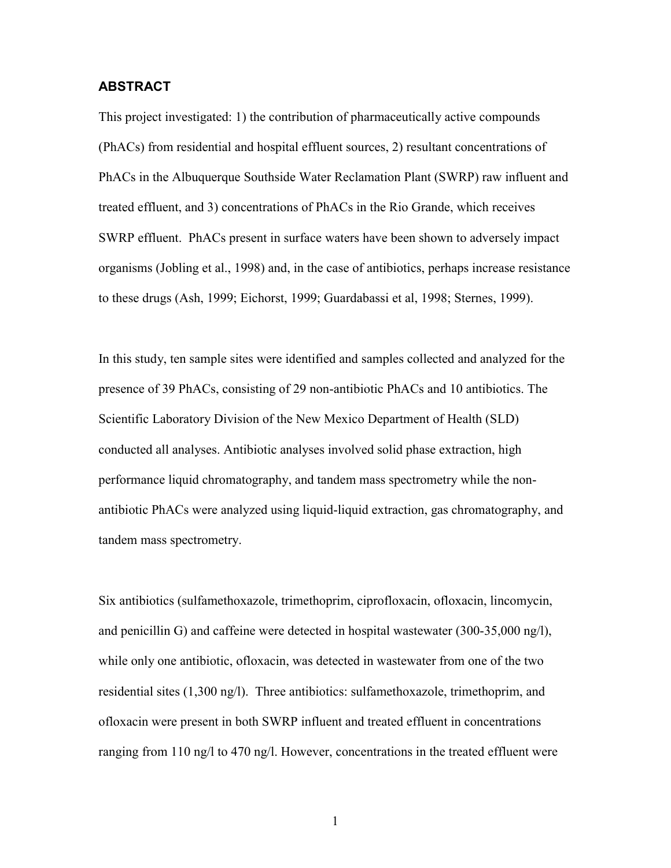#### **ABSTRACT**

This project investigated: 1) the contribution of pharmaceutically active compounds (PhACs) from residential and hospital effluent sources, 2) resultant concentrations of PhACs in the Albuquerque Southside Water Reclamation Plant (SWRP) raw influent and treated effluent, and 3) concentrations of PhACs in the Rio Grande, which receives SWRP effluent. PhACs present in surface waters have been shown to adversely impact organisms (Jobling et al., 1998) and, in the case of antibiotics, perhaps increase resistance to these drugs (Ash, 1999; Eichorst, 1999; Guardabassi et al, 1998; Sternes, 1999).

In this study, ten sample sites were identified and samples collected and analyzed for the presence of 39 PhACs, consisting of 29 non-antibiotic PhACs and 10 antibiotics. The Scientific Laboratory Division of the New Mexico Department of Health (SLD) conducted all analyses. Antibiotic analyses involved solid phase extraction, high performance liquid chromatography, and tandem mass spectrometry while the nonantibiotic PhACs were analyzed using liquid-liquid extraction, gas chromatography, and tandem mass spectrometry.

Six antibiotics (sulfamethoxazole, trimethoprim, ciprofloxacin, ofloxacin, lincomycin, and penicillin G) and caffeine were detected in hospital wastewater (300-35,000 ng/l), while only one antibiotic, ofloxacin, was detected in wastewater from one of the two residential sites (1,300 ng/l). Three antibiotics: sulfamethoxazole, trimethoprim, and ofloxacin were present in both SWRP influent and treated effluent in concentrations ranging from 110 ng/l to 470 ng/l. However, concentrations in the treated effluent were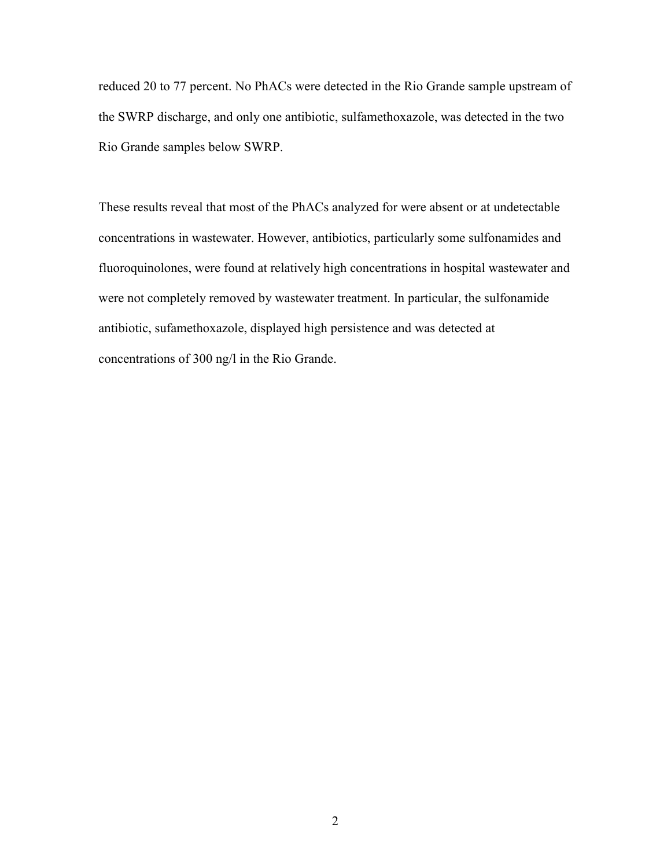reduced 20 to 77 percent. No PhACs were detected in the Rio Grande sample upstream of the SWRP discharge, and only one antibiotic, sulfamethoxazole, was detected in the two Rio Grande samples below SWRP.

These results reveal that most of the PhACs analyzed for were absent or at undetectable concentrations in wastewater. However, antibiotics, particularly some sulfonamides and fluoroquinolones, were found at relatively high concentrations in hospital wastewater and were not completely removed by wastewater treatment. In particular, the sulfonamide antibiotic, sufamethoxazole, displayed high persistence and was detected at concentrations of 300 ng/l in the Rio Grande.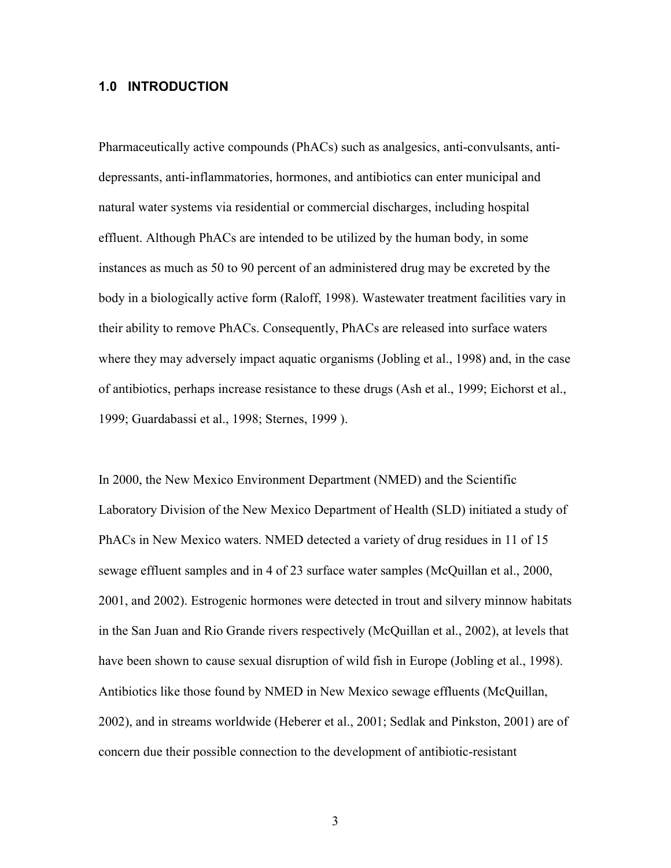#### **1.0 INTRODUCTION**

Pharmaceutically active compounds (PhACs) such as analgesics, anti-convulsants, antidepressants, anti-inflammatories, hormones, and antibiotics can enter municipal and natural water systems via residential or commercial discharges, including hospital effluent. Although PhACs are intended to be utilized by the human body, in some instances as much as 50 to 90 percent of an administered drug may be excreted by the body in a biologically active form (Raloff, 1998). Wastewater treatment facilities vary in their ability to remove PhACs. Consequently, PhACs are released into surface waters where they may adversely impact aquatic organisms (Jobling et al., 1998) and, in the case of antibiotics, perhaps increase resistance to these drugs (Ash et al., 1999; Eichorst et al., 1999; Guardabassi et al., 1998; Sternes, 1999 ).

In 2000, the New Mexico Environment Department (NMED) and the Scientific Laboratory Division of the New Mexico Department of Health (SLD) initiated a study of PhACs in New Mexico waters. NMED detected a variety of drug residues in 11 of 15 sewage effluent samples and in 4 of 23 surface water samples (McQuillan et al., 2000, 2001, and 2002). Estrogenic hormones were detected in trout and silvery minnow habitats in the San Juan and Rio Grande rivers respectively (McQuillan et al., 2002), at levels that have been shown to cause sexual disruption of wild fish in Europe (Jobling et al., 1998). Antibiotics like those found by NMED in New Mexico sewage effluents (McQuillan, 2002), and in streams worldwide (Heberer et al., 2001; Sedlak and Pinkston, 2001) are of concern due their possible connection to the development of antibiotic-resistant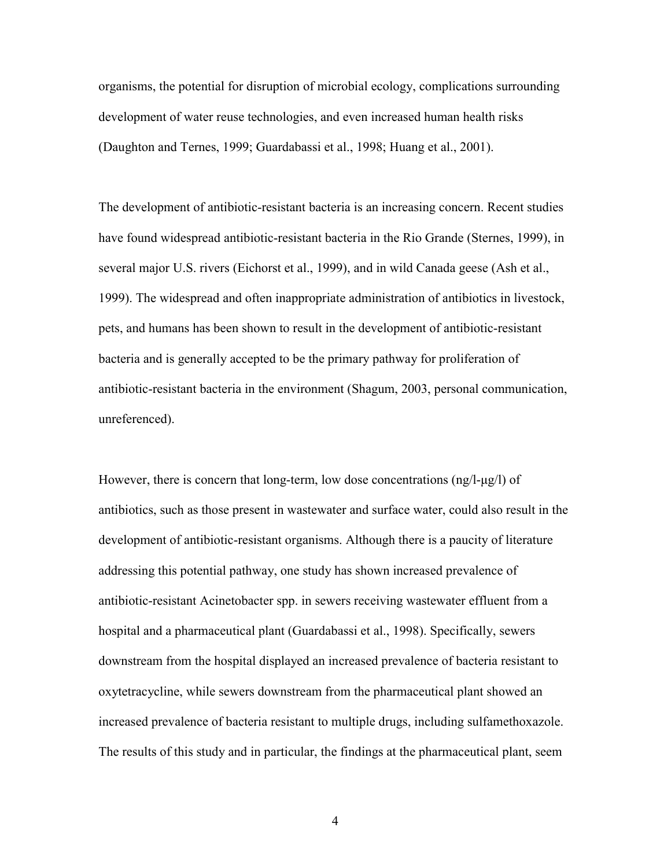organisms, the potential for disruption of microbial ecology, complications surrounding development of water reuse technologies, and even increased human health risks (Daughton and Ternes, 1999; Guardabassi et al., 1998; Huang et al., 2001).

The development of antibiotic-resistant bacteria is an increasing concern. Recent studies have found widespread antibiotic-resistant bacteria in the Rio Grande (Sternes, 1999), in several major U.S. rivers (Eichorst et al., 1999), and in wild Canada geese (Ash et al., 1999). The widespread and often inappropriate administration of antibiotics in livestock, pets, and humans has been shown to result in the development of antibiotic-resistant bacteria and is generally accepted to be the primary pathway for proliferation of antibiotic-resistant bacteria in the environment (Shagum, 2003, personal communication, unreferenced).

However, there is concern that long-term, low dose concentrations  $(\text{ng}/l-\text{g}/l)$  of antibiotics, such as those present in wastewater and surface water, could also result in the development of antibiotic-resistant organisms. Although there is a paucity of literature addressing this potential pathway, one study has shown increased prevalence of antibiotic-resistant Acinetobacter spp. in sewers receiving wastewater effluent from a hospital and a pharmaceutical plant (Guardabassi et al., 1998). Specifically, sewers downstream from the hospital displayed an increased prevalence of bacteria resistant to oxytetracycline, while sewers downstream from the pharmaceutical plant showed an increased prevalence of bacteria resistant to multiple drugs, including sulfamethoxazole. The results of this study and in particular, the findings at the pharmaceutical plant, seem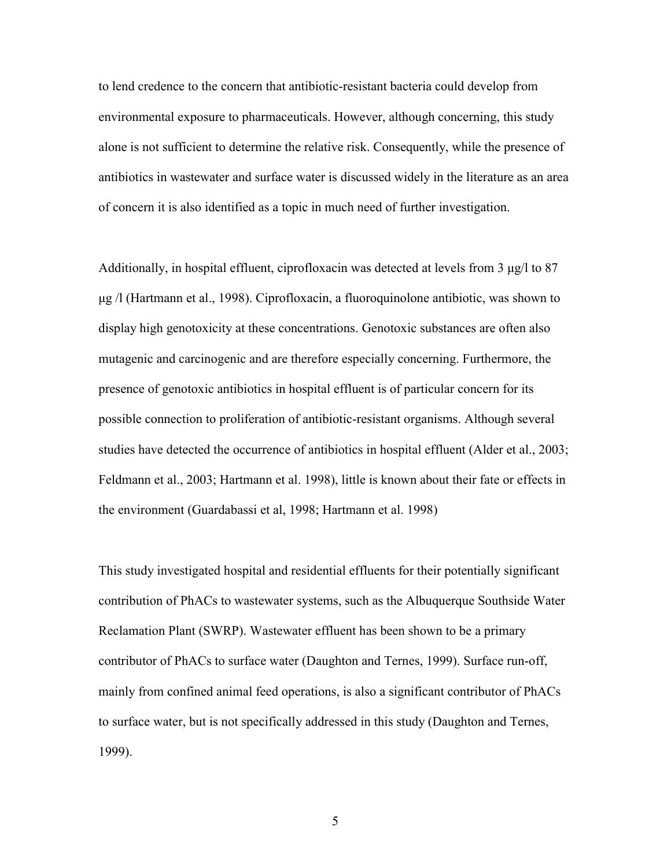to lend credence to the concern that antibiotic-resistant bacteria could develop from environmental exposure to pharmaceuticals. However, although concerning, this study alone is not sufficient to determine the relative risk. Consequently, while the presence of antibiotics in wastewater and surface water is discussed widely in the literature as an area of concern it is also identified as a topic in much need of further investigation.

Additionally, in hospital effluent, ciprofloxacin was detected at levels from 3 µg/l to 87 µg /l (Hartmann et al., 1998). Ciprofloxacin, a fluoroquinolone antibiotic, was shown to display high genotoxicity at these concentrations. Genotoxic substances are often also mutagenic and carcinogenic and are therefore especially concerning. Furthermore, the presence of genotoxic antibiotics in hospital effluent is of particular concern for its possible connection to proliferation of antibiotic-resistant organisms. Although several studies have detected the occurrence of antibiotics in hospital effluent (Alder et al., 2003; Feldmann et al., 2003; Hartmann et al. 1998), little is known about their fate or effects in the environment (Guardabassi et al, 1998; Hartmann et al. 1998)

This study investigated hospital and residential effluents for their potentially significant contribution of PhACs to wastewater systems, such as the Albuquerque Southside Water Reclamation Plant (SWRP). Wastewater effluent has been shown to be a primary contributor of PhACs to surface water (Daughton and Ternes, 1999). Surface run-off, mainly from confined animal feed operations, is also a significant contributor of PhACs to surface water, but is not specifically addressed in this study (Daughton and Ternes, 1999).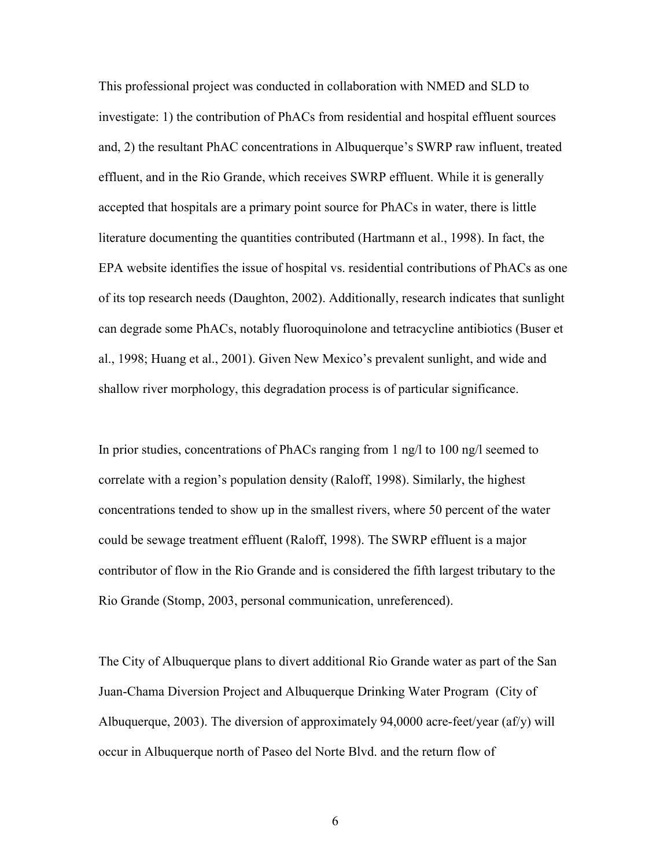This professional project was conducted in collaboration with NMED and SLD to investigate: 1) the contribution of PhACs from residential and hospital effluent sources and, 2) the resultant PhAC concentrations in Albuquerque's SWRP raw influent, treated effluent, and in the Rio Grande, which receives SWRP effluent. While it is generally accepted that hospitals are a primary point source for PhACs in water, there is little literature documenting the quantities contributed (Hartmann et al., 1998). In fact, the EPA website identifies the issue of hospital vs. residential contributions of PhACs as one of its top research needs (Daughton, 2002). Additionally, research indicates that sunlight can degrade some PhACs, notably fluoroquinolone and tetracycline antibiotics (Buser et al., 1998; Huang et al., 2001). Given New Mexico's prevalent sunlight, and wide and shallow river morphology, this degradation process is of particular significance.

In prior studies, concentrations of PhACs ranging from 1 ng/l to 100 ng/l seemed to correlate with a region's population density (Raloff, 1998). Similarly, the highest concentrations tended to show up in the smallest rivers, where 50 percent of the water could be sewage treatment effluent (Raloff, 1998). The SWRP effluent is a major contributor of flow in the Rio Grande and is considered the fifth largest tributary to the Rio Grande (Stomp, 2003, personal communication, unreferenced).

The City of Albuquerque plans to divert additional Rio Grande water as part of the San Juan-Chama Diversion Project and Albuquerque Drinking Water Program (City of Albuquerque, 2003). The diversion of approximately 94,0000 acre-feet/year (af/y) will occur in Albuquerque north of Paseo del Norte Blvd. and the return flow of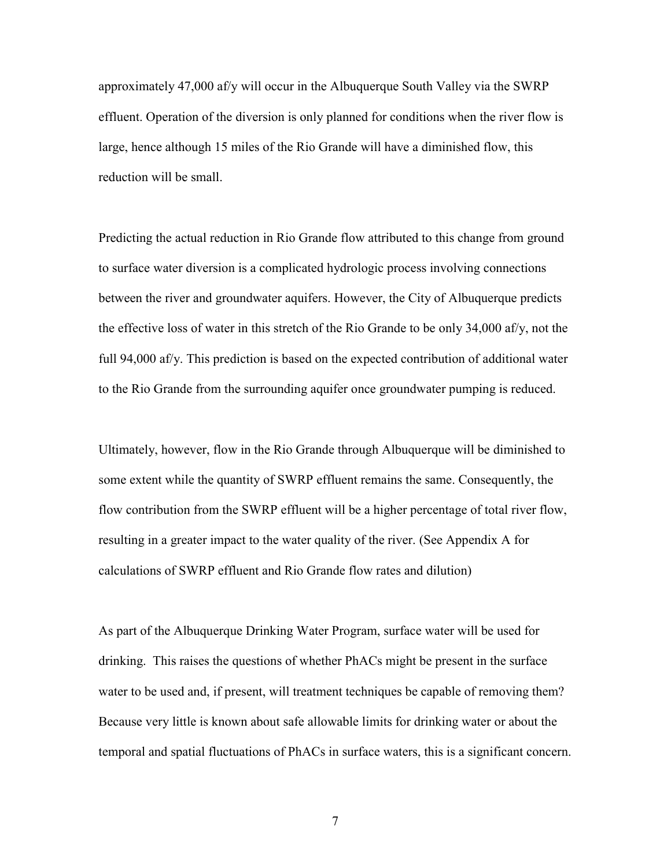approximately 47,000 af/y will occur in the Albuquerque South Valley via the SWRP effluent. Operation of the diversion is only planned for conditions when the river flow is large, hence although 15 miles of the Rio Grande will have a diminished flow, this reduction will be small.

Predicting the actual reduction in Rio Grande flow attributed to this change from ground to surface water diversion is a complicated hydrologic process involving connections between the river and groundwater aquifers. However, the City of Albuquerque predicts the effective loss of water in this stretch of the Rio Grande to be only 34,000 af/y, not the full 94,000 af/y. This prediction is based on the expected contribution of additional water to the Rio Grande from the surrounding aquifer once groundwater pumping is reduced.

Ultimately, however, flow in the Rio Grande through Albuquerque will be diminished to some extent while the quantity of SWRP effluent remains the same. Consequently, the flow contribution from the SWRP effluent will be a higher percentage of total river flow, resulting in a greater impact to the water quality of the river. (See Appendix A for calculations of SWRP effluent and Rio Grande flow rates and dilution)

As part of the Albuquerque Drinking Water Program, surface water will be used for drinking. This raises the questions of whether PhACs might be present in the surface water to be used and, if present, will treatment techniques be capable of removing them? Because very little is known about safe allowable limits for drinking water or about the temporal and spatial fluctuations of PhACs in surface waters, this is a significant concern.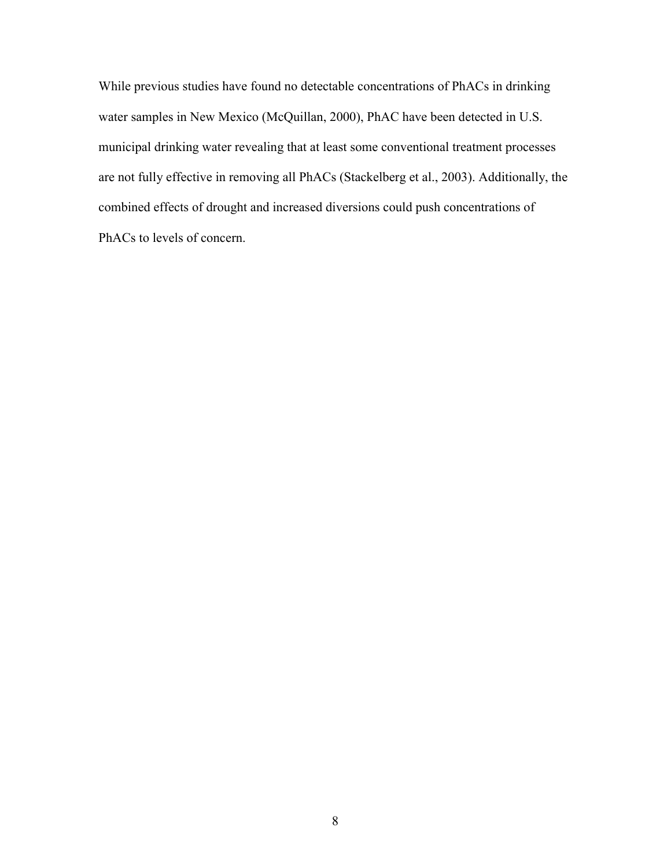While previous studies have found no detectable concentrations of PhACs in drinking water samples in New Mexico (McQuillan, 2000), PhAC have been detected in U.S. municipal drinking water revealing that at least some conventional treatment processes are not fully effective in removing all PhACs (Stackelberg et al., 2003). Additionally, the combined effects of drought and increased diversions could push concentrations of PhACs to levels of concern.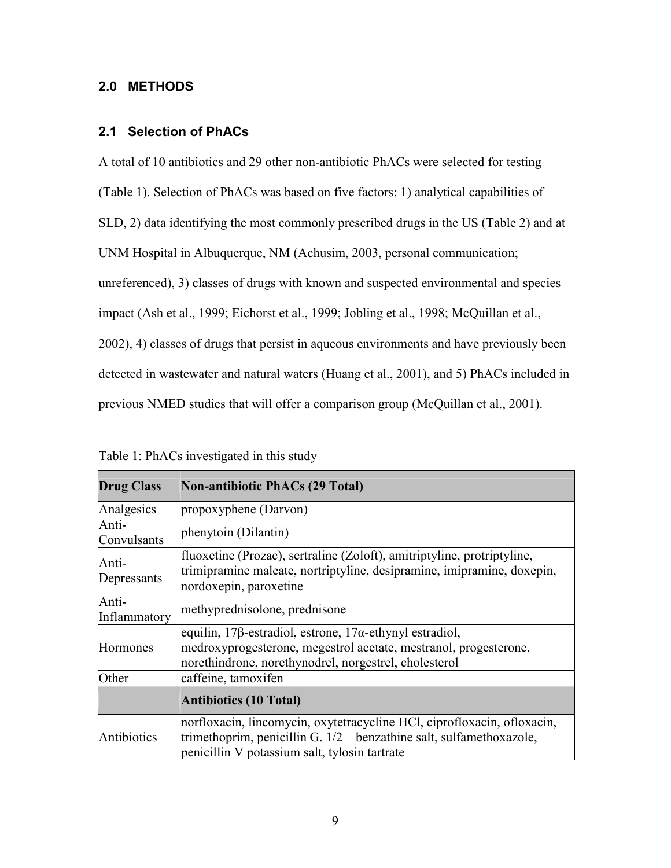## **2.0 METHODS**

#### **2.1 Selection of PhACs**

A total of 10 antibiotics and 29 other non-antibiotic PhACs were selected for testing (Table 1). Selection of PhACs was based on five factors: 1) analytical capabilities of SLD, 2) data identifying the most commonly prescribed drugs in the US (Table 2) and at UNM Hospital in Albuquerque, NM (Achusim, 2003, personal communication; unreferenced), 3) classes of drugs with known and suspected environmental and species impact (Ash et al., 1999; Eichorst et al., 1999; Jobling et al., 1998; McQuillan et al., 2002), 4) classes of drugs that persist in aqueous environments and have previously been detected in wastewater and natural waters (Huang et al., 2001), and 5) PhACs included in previous NMED studies that will offer a comparison group (McQuillan et al., 2001).

| <b>Drug Class</b>     | <b>Non-antibiotic PhACs (29 Total)</b>                                                                                                                                                             |
|-----------------------|----------------------------------------------------------------------------------------------------------------------------------------------------------------------------------------------------|
| Analgesics            | propoxyphene (Darvon)                                                                                                                                                                              |
| Anti-<br>Convulsants  | phenytoin (Dilantin)                                                                                                                                                                               |
| Anti-<br>Depressants  | fluoxetine (Prozac), sertraline (Zoloft), amitriptyline, protriptyline,<br>trimipramine maleate, nortriptyline, desipramine, imipramine, doxepin,<br>nordoxepin, paroxetine                        |
| Anti-<br>Inflammatory | methyprednisolone, prednisone                                                                                                                                                                      |
| Hormones              | equilin, 17β-estradiol, estrone, 17α-ethynyl estradiol,<br>medroxyprogesterone, megestrol acetate, mestranol, progesterone,<br>norethindrone, norethynodrel, norgestrel, cholesterol               |
| Other                 | caffeine, tamoxifen                                                                                                                                                                                |
|                       | <b>Antibiotics (10 Total)</b>                                                                                                                                                                      |
| Antibiotics           | norfloxacin, lincomycin, oxytetracycline HCl, ciprofloxacin, ofloxacin,<br>trimethoprim, penicillin G. $1/2$ – benzathine salt, sulfamethoxazole,<br>penicillin V potassium salt, tylosin tartrate |

Table 1: PhACs investigated in this study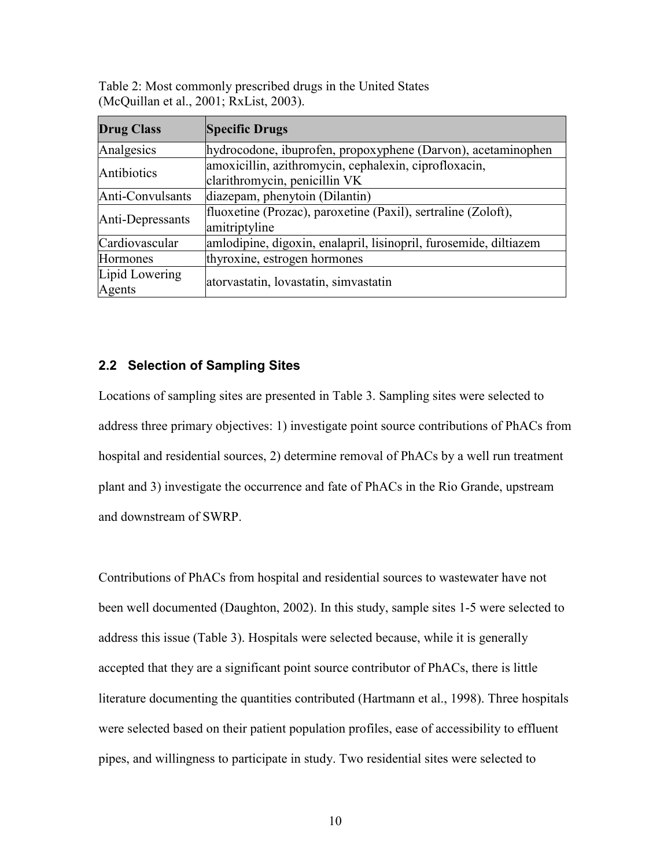| Table 2: Most commonly prescribed drugs in the United States |
|--------------------------------------------------------------|
| (McQuillan et al., 2001; RxList, 2003).                      |

| <b>Drug Class</b> | <b>Specific Drugs</b>                                             |  |  |  |
|-------------------|-------------------------------------------------------------------|--|--|--|
| Analgesics        | hydrocodone, ibuprofen, propoxyphene (Darvon), acetaminophen      |  |  |  |
| Antibiotics       | amoxicillin, azithromycin, cephalexin, ciprofloxacin,             |  |  |  |
|                   | clarithromycin, penicillin VK                                     |  |  |  |
| Anti-Convulsants  | diazepam, phenytoin (Dilantin)                                    |  |  |  |
|                   | fluoxetine (Prozac), paroxetine (Paxil), sertraline (Zoloft),     |  |  |  |
| Anti-Depressants  | amitriptyline                                                     |  |  |  |
| Cardiovascular    | amlodipine, digoxin, enalapril, lisinopril, furosemide, diltiazem |  |  |  |
| Hormones          | thyroxine, estrogen hormones                                      |  |  |  |
| Lipid Lowering    |                                                                   |  |  |  |
| Agents            | atorvastatin, lovastatin, simvastatin                             |  |  |  |

#### **2.2 Selection of Sampling Sites**

Locations of sampling sites are presented in Table 3. Sampling sites were selected to address three primary objectives: 1) investigate point source contributions of PhACs from hospital and residential sources, 2) determine removal of PhACs by a well run treatment plant and 3) investigate the occurrence and fate of PhACs in the Rio Grande, upstream and downstream of SWRP.

Contributions of PhACs from hospital and residential sources to wastewater have not been well documented (Daughton, 2002). In this study, sample sites 1-5 were selected to address this issue (Table 3). Hospitals were selected because, while it is generally accepted that they are a significant point source contributor of PhACs, there is little literature documenting the quantities contributed (Hartmann et al., 1998). Three hospitals were selected based on their patient population profiles, ease of accessibility to effluent pipes, and willingness to participate in study. Two residential sites were selected to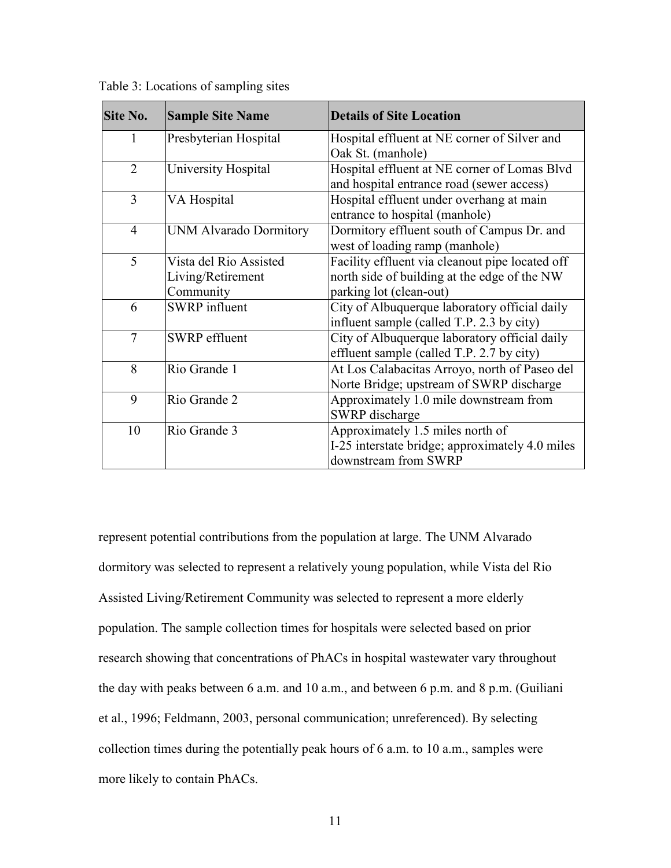| <b>Site No.</b> | <b>Sample Site Name</b>                                  | <b>Details of Site Location</b>                                                                                            |
|-----------------|----------------------------------------------------------|----------------------------------------------------------------------------------------------------------------------------|
| 1               | Presbyterian Hospital                                    | Hospital effluent at NE corner of Silver and<br>Oak St. (manhole)                                                          |
| $\overline{2}$  | University Hospital                                      | Hospital effluent at NE corner of Lomas Blvd<br>and hospital entrance road (sewer access)                                  |
| $\overline{3}$  | VA Hospital                                              | Hospital effluent under overhang at main<br>entrance to hospital (manhole)                                                 |
| $\overline{4}$  | <b>UNM Alvarado Dormitory</b>                            | Dormitory effluent south of Campus Dr. and<br>west of loading ramp (manhole)                                               |
| 5               | Vista del Rio Assisted<br>Living/Retirement<br>Community | Facility effluent via cleanout pipe located off<br>north side of building at the edge of the NW<br>parking lot (clean-out) |
| 6               | <b>SWRP</b> influent                                     | City of Albuquerque laboratory official daily<br>influent sample (called T.P. 2.3 by city)                                 |
| $\overline{7}$  | <b>SWRP</b> effluent                                     | City of Albuquerque laboratory official daily<br>effluent sample (called T.P. 2.7 by city)                                 |
| 8               | Rio Grande 1                                             | At Los Calabacitas Arroyo, north of Paseo del<br>Norte Bridge; upstream of SWRP discharge                                  |
| 9               | Rio Grande 2                                             | Approximately 1.0 mile downstream from<br>SWRP discharge                                                                   |
| 10              | Rio Grande 3                                             | Approximately 1.5 miles north of<br>I-25 interstate bridge; approximately 4.0 miles<br>downstream from SWRP                |

Table 3: Locations of sampling sites

represent potential contributions from the population at large. The UNM Alvarado dormitory was selected to represent a relatively young population, while Vista del Rio Assisted Living/Retirement Community was selected to represent a more elderly population. The sample collection times for hospitals were selected based on prior research showing that concentrations of PhACs in hospital wastewater vary throughout the day with peaks between 6 a.m. and 10 a.m., and between 6 p.m. and 8 p.m. (Guiliani et al., 1996; Feldmann, 2003, personal communication; unreferenced). By selecting collection times during the potentially peak hours of 6 a.m. to 10 a.m., samples were more likely to contain PhACs.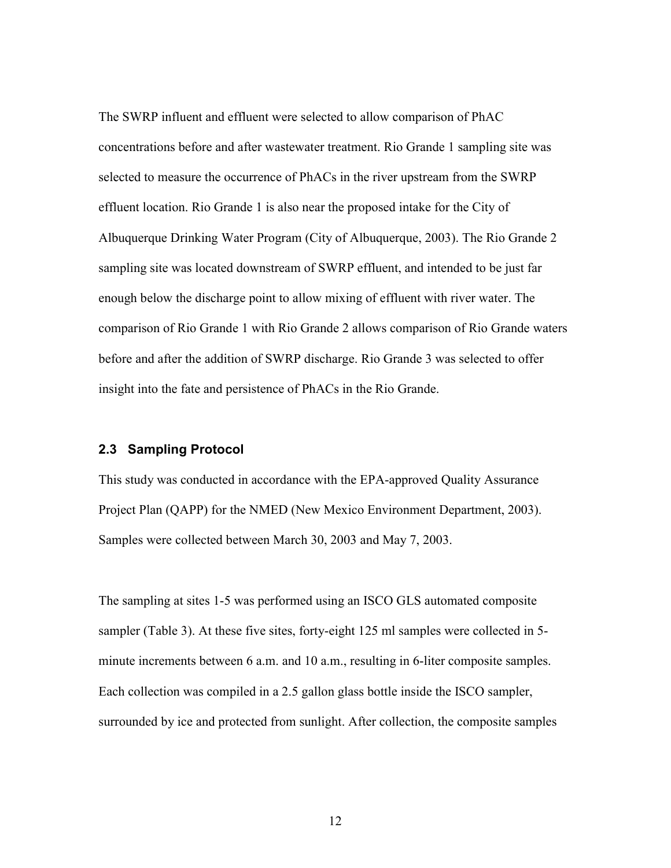The SWRP influent and effluent were selected to allow comparison of PhAC concentrations before and after wastewater treatment. Rio Grande 1 sampling site was selected to measure the occurrence of PhACs in the river upstream from the SWRP effluent location. Rio Grande 1 is also near the proposed intake for the City of Albuquerque Drinking Water Program (City of Albuquerque, 2003). The Rio Grande 2 sampling site was located downstream of SWRP effluent, and intended to be just far enough below the discharge point to allow mixing of effluent with river water. The comparison of Rio Grande 1 with Rio Grande 2 allows comparison of Rio Grande waters before and after the addition of SWRP discharge. Rio Grande 3 was selected to offer insight into the fate and persistence of PhACs in the Rio Grande.

#### **2.3 Sampling Protocol**

This study was conducted in accordance with the EPA-approved Quality Assurance Project Plan (QAPP) for the NMED (New Mexico Environment Department, 2003). Samples were collected between March 30, 2003 and May 7, 2003.

The sampling at sites 1-5 was performed using an ISCO GLS automated composite sampler (Table 3). At these five sites, forty-eight 125 ml samples were collected in 5minute increments between 6 a.m. and 10 a.m., resulting in 6-liter composite samples. Each collection was compiled in a 2.5 gallon glass bottle inside the ISCO sampler, surrounded by ice and protected from sunlight. After collection, the composite samples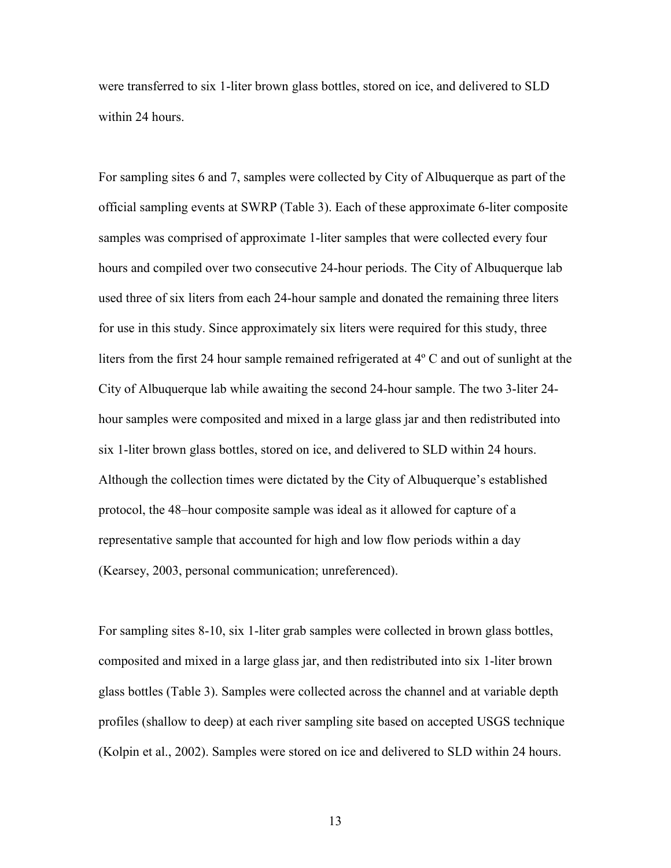were transferred to six 1-liter brown glass bottles, stored on ice, and delivered to SLD within 24 hours.

For sampling sites 6 and 7, samples were collected by City of Albuquerque as part of the official sampling events at SWRP (Table 3). Each of these approximate 6-liter composite samples was comprised of approximate 1-liter samples that were collected every four hours and compiled over two consecutive 24-hour periods. The City of Albuquerque lab used three of six liters from each 24-hour sample and donated the remaining three liters for use in this study. Since approximately six liters were required for this study, three liters from the first 24 hour sample remained refrigerated at 4º C and out of sunlight at the City of Albuquerque lab while awaiting the second 24-hour sample. The two 3-liter 24 hour samples were composited and mixed in a large glass jar and then redistributed into six 1-liter brown glass bottles, stored on ice, and delivered to SLD within 24 hours. Although the collection times were dictated by the City of Albuquerque's established protocol, the 48–hour composite sample was ideal as it allowed for capture of a representative sample that accounted for high and low flow periods within a day (Kearsey, 2003, personal communication; unreferenced).

For sampling sites 8-10, six 1-liter grab samples were collected in brown glass bottles, composited and mixed in a large glass jar, and then redistributed into six 1-liter brown glass bottles (Table 3). Samples were collected across the channel and at variable depth profiles (shallow to deep) at each river sampling site based on accepted USGS technique (Kolpin et al., 2002). Samples were stored on ice and delivered to SLD within 24 hours.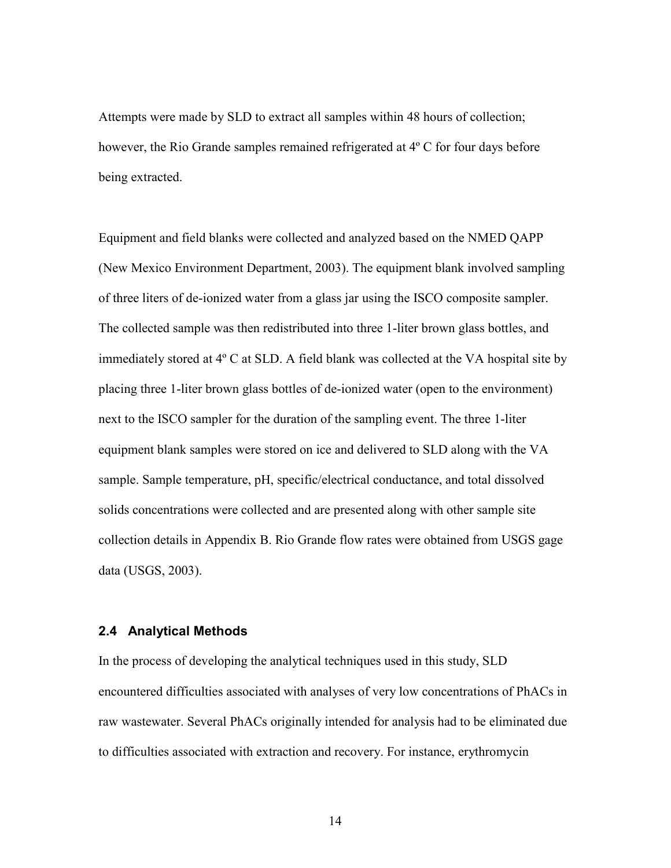Attempts were made by SLD to extract all samples within 48 hours of collection; however, the Rio Grande samples remained refrigerated at 4º C for four days before being extracted.

Equipment and field blanks were collected and analyzed based on the NMED QAPP (New Mexico Environment Department, 2003). The equipment blank involved sampling of three liters of de-ionized water from a glass jar using the ISCO composite sampler. The collected sample was then redistributed into three 1-liter brown glass bottles, and immediately stored at 4º C at SLD. A field blank was collected at the VA hospital site by placing three 1-liter brown glass bottles of de-ionized water (open to the environment) next to the ISCO sampler for the duration of the sampling event. The three 1-liter equipment blank samples were stored on ice and delivered to SLD along with the VA sample. Sample temperature, pH, specific/electrical conductance, and total dissolved solids concentrations were collected and are presented along with other sample site collection details in Appendix B. Rio Grande flow rates were obtained from USGS gage data (USGS, 2003).

#### **2.4 Analytical Methods**

In the process of developing the analytical techniques used in this study, SLD encountered difficulties associated with analyses of very low concentrations of PhACs in raw wastewater. Several PhACs originally intended for analysis had to be eliminated due to difficulties associated with extraction and recovery. For instance, erythromycin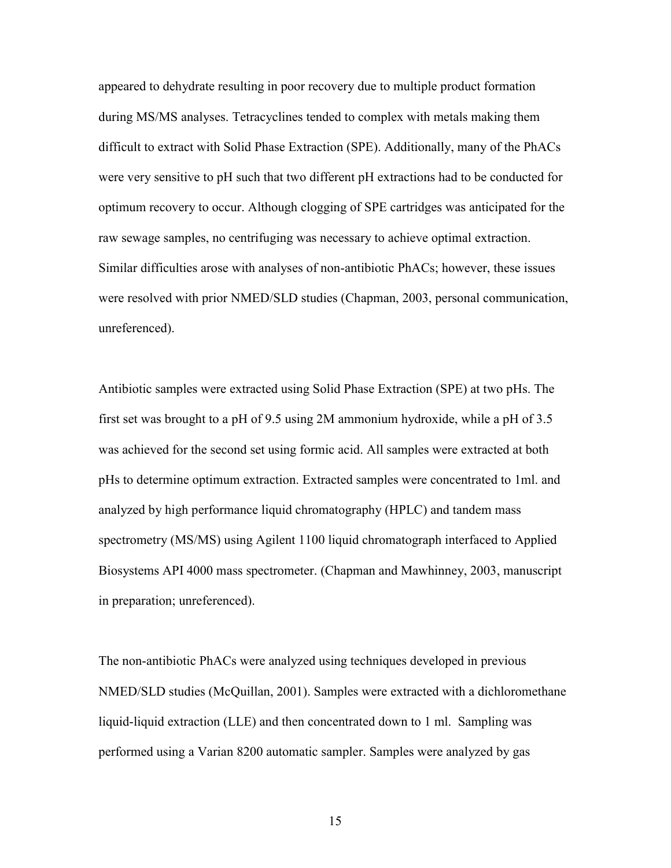appeared to dehydrate resulting in poor recovery due to multiple product formation during MS/MS analyses. Tetracyclines tended to complex with metals making them difficult to extract with Solid Phase Extraction (SPE). Additionally, many of the PhACs were very sensitive to pH such that two different pH extractions had to be conducted for optimum recovery to occur. Although clogging of SPE cartridges was anticipated for the raw sewage samples, no centrifuging was necessary to achieve optimal extraction. Similar difficulties arose with analyses of non-antibiotic PhACs; however, these issues were resolved with prior NMED/SLD studies (Chapman, 2003, personal communication, unreferenced).

Antibiotic samples were extracted using Solid Phase Extraction (SPE) at two pHs. The first set was brought to a pH of 9.5 using 2M ammonium hydroxide, while a pH of 3.5 was achieved for the second set using formic acid. All samples were extracted at both pHs to determine optimum extraction. Extracted samples were concentrated to 1ml. and analyzed by high performance liquid chromatography (HPLC) and tandem mass spectrometry (MS/MS) using Agilent 1100 liquid chromatograph interfaced to Applied Biosystems API 4000 mass spectrometer. (Chapman and Mawhinney, 2003, manuscript in preparation; unreferenced).

The non-antibiotic PhACs were analyzed using techniques developed in previous NMED/SLD studies (McQuillan, 2001). Samples were extracted with a dichloromethane liquid-liquid extraction (LLE) and then concentrated down to 1 ml. Sampling was performed using a Varian 8200 automatic sampler. Samples were analyzed by gas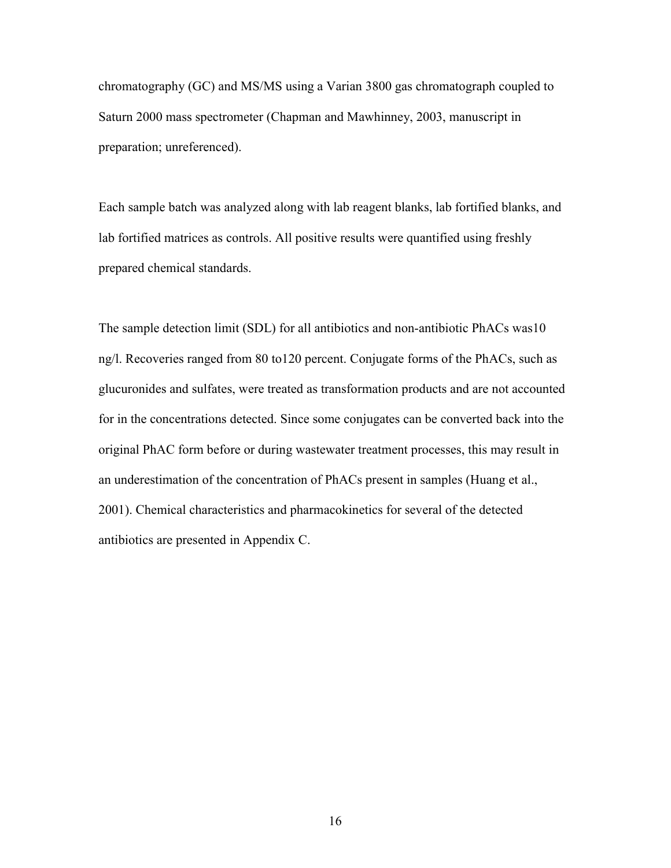chromatography (GC) and MS/MS using a Varian 3800 gas chromatograph coupled to Saturn 2000 mass spectrometer (Chapman and Mawhinney, 2003, manuscript in preparation; unreferenced).

Each sample batch was analyzed along with lab reagent blanks, lab fortified blanks, and lab fortified matrices as controls. All positive results were quantified using freshly prepared chemical standards.

The sample detection limit (SDL) for all antibiotics and non-antibiotic PhACs was10 ng/l. Recoveries ranged from 80 to120 percent. Conjugate forms of the PhACs, such as glucuronides and sulfates, were treated as transformation products and are not accounted for in the concentrations detected. Since some conjugates can be converted back into the original PhAC form before or during wastewater treatment processes, this may result in an underestimation of the concentration of PhACs present in samples (Huang et al., 2001). Chemical characteristics and pharmacokinetics for several of the detected antibiotics are presented in Appendix C.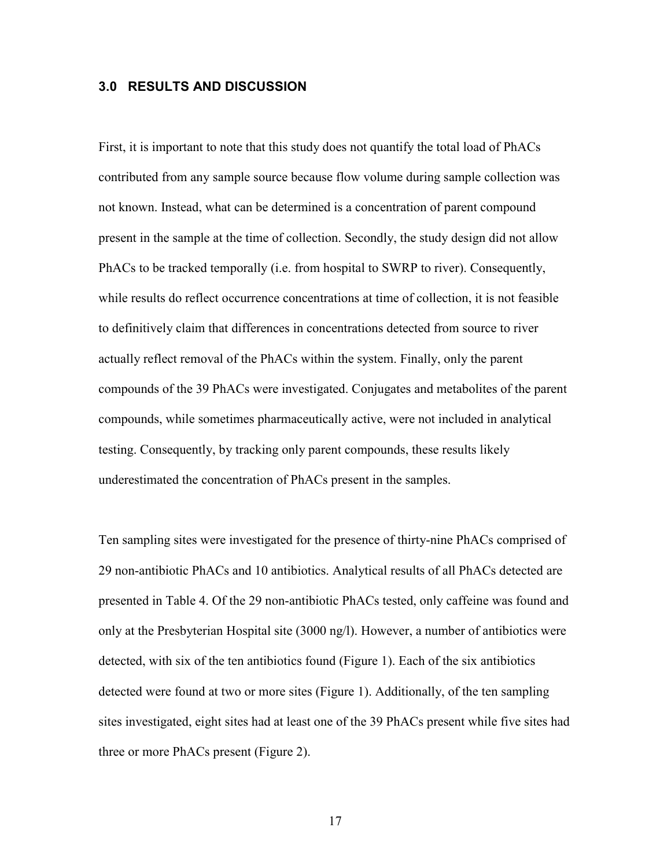#### **3.0 RESULTS AND DISCUSSION**

First, it is important to note that this study does not quantify the total load of PhACs contributed from any sample source because flow volume during sample collection was not known. Instead, what can be determined is a concentration of parent compound present in the sample at the time of collection. Secondly, the study design did not allow PhACs to be tracked temporally (i.e. from hospital to SWRP to river). Consequently, while results do reflect occurrence concentrations at time of collection, it is not feasible to definitively claim that differences in concentrations detected from source to river actually reflect removal of the PhACs within the system. Finally, only the parent compounds of the 39 PhACs were investigated. Conjugates and metabolites of the parent compounds, while sometimes pharmaceutically active, were not included in analytical testing. Consequently, by tracking only parent compounds, these results likely underestimated the concentration of PhACs present in the samples.

Ten sampling sites were investigated for the presence of thirty-nine PhACs comprised of 29 non-antibiotic PhACs and 10 antibiotics. Analytical results of all PhACs detected are presented in Table 4. Of the 29 non-antibiotic PhACs tested, only caffeine was found and only at the Presbyterian Hospital site (3000 ng/l). However, a number of antibiotics were detected, with six of the ten antibiotics found (Figure 1). Each of the six antibiotics detected were found at two or more sites (Figure 1). Additionally, of the ten sampling sites investigated, eight sites had at least one of the 39 PhACs present while five sites had three or more PhACs present (Figure 2).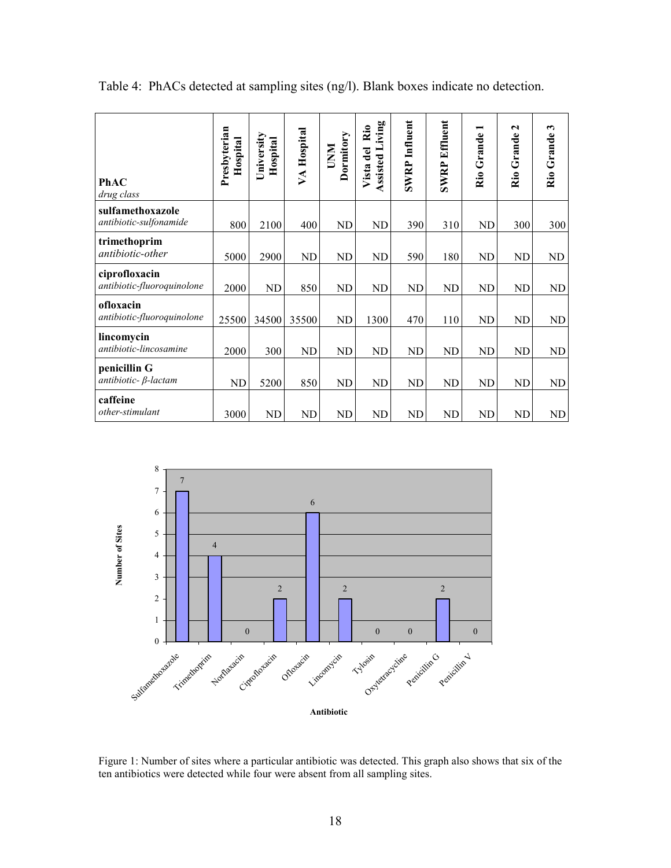| PhAC<br>drug class                          | Presbyterian<br>Hospital | University<br>Hospital | VA Hospital | Dormitory<br><b>NNU</b> | iving<br>$\ddot{\mathbf{R}}$ io<br>Assisted L<br>Vista del | <b>SWRP</b> Influent | <b>SWRP Effluent</b> | Rio Grande | $\mathbf{\tilde{c}}$<br>Rio Grande | $\boldsymbol{\omega}$<br>Rio Grande |
|---------------------------------------------|--------------------------|------------------------|-------------|-------------------------|------------------------------------------------------------|----------------------|----------------------|------------|------------------------------------|-------------------------------------|
| sulfamethoxazole<br>antibiotic-sulfonamide  | 800                      | 2100                   | 400         | <b>ND</b>               | <b>ND</b>                                                  | 390                  | 310                  | ND         | 300                                | 300                                 |
| trimethoprim<br>antibiotic-other            | 5000                     | 2900                   | <b>ND</b>   | ND                      | <b>ND</b>                                                  | 590                  | 180                  | ND         | <b>ND</b>                          | ND                                  |
| ciprofloxacin<br>antibiotic-fluoroquinolone | 2000                     | <b>ND</b>              | 850         | <b>ND</b>               | <b>ND</b>                                                  | <b>ND</b>            | <b>ND</b>            | <b>ND</b>  | <b>ND</b>                          | ND                                  |
| ofloxacin<br>antibiotic-fluoroquinolone     | 25500                    | 34500                  | 35500       | <b>ND</b>               | 1300                                                       | 470                  | 110                  | <b>ND</b>  | ND                                 | ND                                  |
| lincomycin<br>antibiotic-lincosamine        | 2000                     | 300                    | <b>ND</b>   | N <sub>D</sub>          | <b>ND</b>                                                  | ND                   | <b>ND</b>            | <b>ND</b>  | <b>ND</b>                          | ND                                  |
| penicillin G<br>antibiotic- $\beta$ -lactam | <b>ND</b>                | 5200                   | 850         | ND                      | <b>ND</b>                                                  | ND                   | ND                   | ND         | <b>ND</b>                          | ND                                  |
| caffeine<br>other-stimulant                 | 3000                     | <b>ND</b>              | ND          | <b>ND</b>               | <b>ND</b>                                                  | ND                   | <b>ND</b>            | ND         | <b>ND</b>                          | ND                                  |

Table 4: PhACs detected at sampling sites (ng/l). Blank boxes indicate no detection.



Figure 1: Number of sites where a particular antibiotic was detected. This graph also shows that six of the ten antibiotics were detected while four were absent from all sampling sites.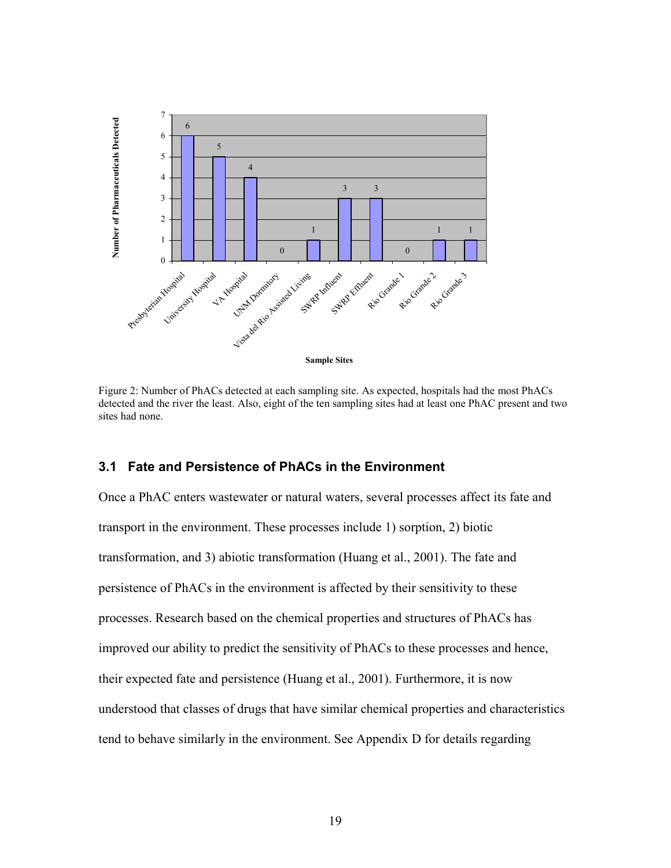

Figure 2: Number of PhACs detected at each sampling site. As expected, hospitals had the most PhACs detected and the river the least. Also, eight of the ten sampling sites had at least one PhAC present and two sites had none.

#### **3.1 Fate and Persistence of PhACs in the Environment**

Once a PhAC enters wastewater or natural waters, several processes affect its fate and transport in the environment. These processes include 1) sorption, 2) biotic transformation, and 3) abiotic transformation (Huang et al., 2001). The fate and persistence of PhACs in the environment is affected by their sensitivity to these processes. Research based on the chemical properties and structures of PhACs has improved our ability to predict the sensitivity of PhACs to these processes and hence, their expected fate and persistence (Huang et al., 2001). Furthermore, it is now understood that classes of drugs that have similar chemical properties and characteristics tend to behave similarly in the environment. See Appendix D for details regarding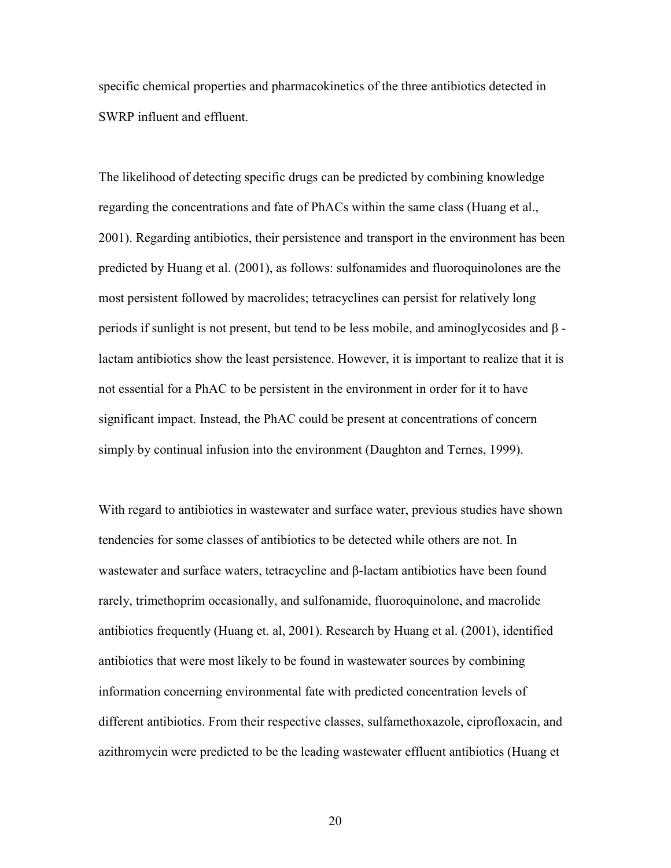specific chemical properties and pharmacokinetics of the three antibiotics detected in SWRP influent and effluent.

The likelihood of detecting specific drugs can be predicted by combining knowledge regarding the concentrations and fate of PhACs within the same class (Huang et al., 2001). Regarding antibiotics, their persistence and transport in the environment has been predicted by Huang et al. (2001), as follows: sulfonamides and fluoroquinolones are the most persistent followed by macrolides; tetracyclines can persist for relatively long periods if sunlight is not present, but tend to be less mobile, and aminoglycosides and β lactam antibiotics show the least persistence. However, it is important to realize that it is not essential for a PhAC to be persistent in the environment in order for it to have significant impact. Instead, the PhAC could be present at concentrations of concern simply by continual infusion into the environment (Daughton and Ternes, 1999).

With regard to antibiotics in wastewater and surface water, previous studies have shown tendencies for some classes of antibiotics to be detected while others are not. In wastewater and surface waters, tetracycline and  $\beta$ -lactam antibiotics have been found rarely, trimethoprim occasionally, and sulfonamide, fluoroquinolone, and macrolide antibiotics frequently (Huang et. al, 2001). Research by Huang et al. (2001), identified antibiotics that were most likely to be found in wastewater sources by combining information concerning environmental fate with predicted concentration levels of different antibiotics. From their respective classes, sulfamethoxazole, ciprofloxacin, and azithromycin were predicted to be the leading wastewater effluent antibiotics (Huang et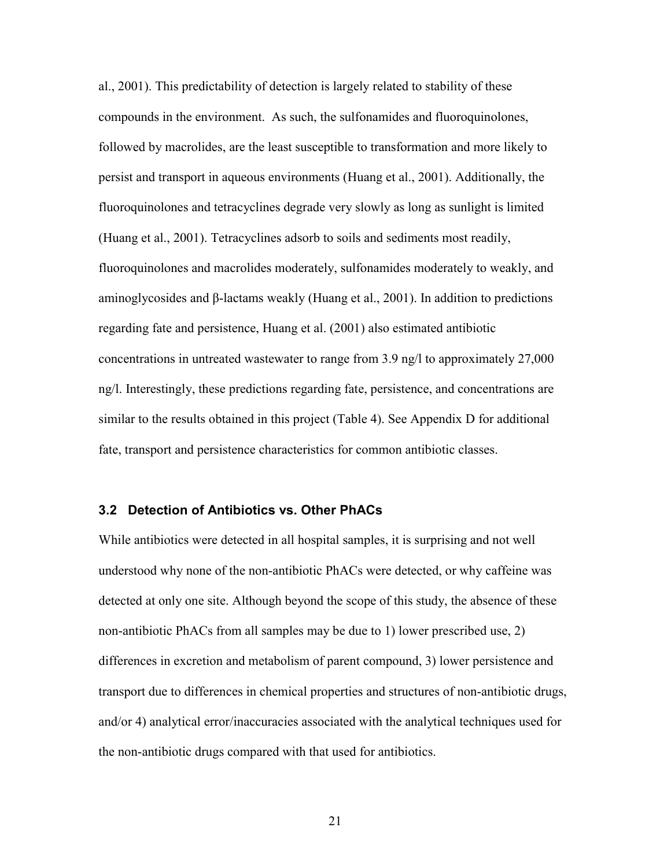al., 2001). This predictability of detection is largely related to stability of these compounds in the environment. As such, the sulfonamides and fluoroquinolones, followed by macrolides, are the least susceptible to transformation and more likely to persist and transport in aqueous environments (Huang et al., 2001). Additionally, the fluoroquinolones and tetracyclines degrade very slowly as long as sunlight is limited (Huang et al., 2001). Tetracyclines adsorb to soils and sediments most readily, fluoroquinolones and macrolides moderately, sulfonamides moderately to weakly, and aminoglycosides and β-lactams weakly (Huang et al., 2001). In addition to predictions regarding fate and persistence, Huang et al. (2001) also estimated antibiotic concentrations in untreated wastewater to range from 3.9 ng/l to approximately 27,000 ng/l. Interestingly, these predictions regarding fate, persistence, and concentrations are similar to the results obtained in this project (Table 4). See Appendix D for additional fate, transport and persistence characteristics for common antibiotic classes.

#### **3.2 Detection of Antibiotics vs. Other PhACs**

While antibiotics were detected in all hospital samples, it is surprising and not well understood why none of the non-antibiotic PhACs were detected, or why caffeine was detected at only one site. Although beyond the scope of this study, the absence of these non-antibiotic PhACs from all samples may be due to 1) lower prescribed use, 2) differences in excretion and metabolism of parent compound, 3) lower persistence and transport due to differences in chemical properties and structures of non-antibiotic drugs, and/or 4) analytical error/inaccuracies associated with the analytical techniques used for the non-antibiotic drugs compared with that used for antibiotics.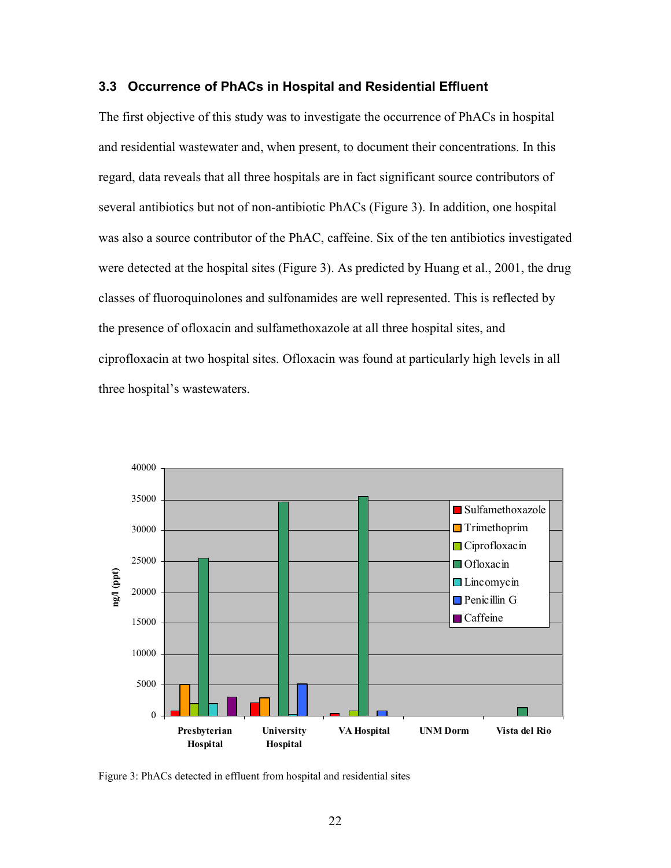#### **3.3 Occurrence of PhACs in Hospital and Residential Effluent**

The first objective of this study was to investigate the occurrence of PhACs in hospital and residential wastewater and, when present, to document their concentrations. In this regard, data reveals that all three hospitals are in fact significant source contributors of several antibiotics but not of non-antibiotic PhACs (Figure 3). In addition, one hospital was also a source contributor of the PhAC, caffeine. Six of the ten antibiotics investigated were detected at the hospital sites (Figure 3). As predicted by Huang et al., 2001, the drug classes of fluoroquinolones and sulfonamides are well represented. This is reflected by the presence of ofloxacin and sulfamethoxazole at all three hospital sites, and ciprofloxacin at two hospital sites. Ofloxacin was found at particularly high levels in all three hospital's wastewaters.



Figure 3: PhACs detected in effluent from hospital and residential sites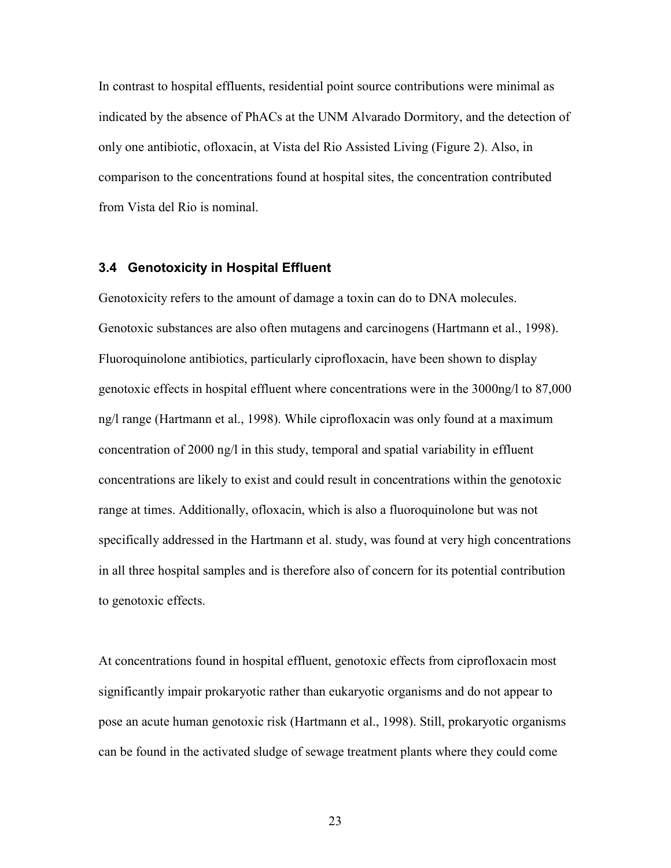In contrast to hospital effluents, residential point source contributions were minimal as indicated by the absence of PhACs at the UNM Alvarado Dormitory, and the detection of only one antibiotic, ofloxacin, at Vista del Rio Assisted Living (Figure 2). Also, in comparison to the concentrations found at hospital sites, the concentration contributed from Vista del Rio is nominal.

#### **3.4 Genotoxicity in Hospital Effluent**

Genotoxicity refers to the amount of damage a toxin can do to DNA molecules. Genotoxic substances are also often mutagens and carcinogens (Hartmann et al., 1998). Fluoroquinolone antibiotics, particularly ciprofloxacin, have been shown to display genotoxic effects in hospital effluent where concentrations were in the 3000ng/l to 87,000 ng/l range (Hartmann et al., 1998). While ciprofloxacin was only found at a maximum concentration of 2000 ng/l in this study, temporal and spatial variability in effluent concentrations are likely to exist and could result in concentrations within the genotoxic range at times. Additionally, ofloxacin, which is also a fluoroquinolone but was not specifically addressed in the Hartmann et al. study, was found at very high concentrations in all three hospital samples and is therefore also of concern for its potential contribution to genotoxic effects.

At concentrations found in hospital effluent, genotoxic effects from ciprofloxacin most significantly impair prokaryotic rather than eukaryotic organisms and do not appear to pose an acute human genotoxic risk (Hartmann et al., 1998). Still, prokaryotic organisms can be found in the activated sludge of sewage treatment plants where they could come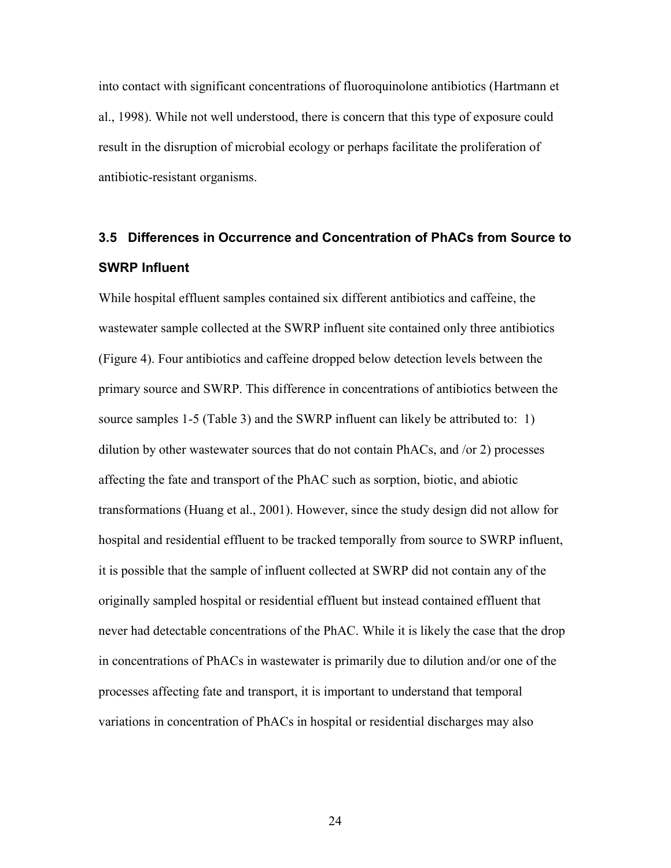into contact with significant concentrations of fluoroquinolone antibiotics (Hartmann et al., 1998). While not well understood, there is concern that this type of exposure could result in the disruption of microbial ecology or perhaps facilitate the proliferation of antibiotic-resistant organisms.

# **3.5 Differences in Occurrence and Concentration of PhACs from Source to SWRP Influent**

While hospital effluent samples contained six different antibiotics and caffeine, the wastewater sample collected at the SWRP influent site contained only three antibiotics (Figure 4). Four antibiotics and caffeine dropped below detection levels between the primary source and SWRP. This difference in concentrations of antibiotics between the source samples 1-5 (Table 3) and the SWRP influent can likely be attributed to: 1) dilution by other wastewater sources that do not contain PhACs, and /or 2) processes affecting the fate and transport of the PhAC such as sorption, biotic, and abiotic transformations (Huang et al., 2001). However, since the study design did not allow for hospital and residential effluent to be tracked temporally from source to SWRP influent, it is possible that the sample of influent collected at SWRP did not contain any of the originally sampled hospital or residential effluent but instead contained effluent that never had detectable concentrations of the PhAC. While it is likely the case that the drop in concentrations of PhACs in wastewater is primarily due to dilution and/or one of the processes affecting fate and transport, it is important to understand that temporal variations in concentration of PhACs in hospital or residential discharges may also

<u>24</u>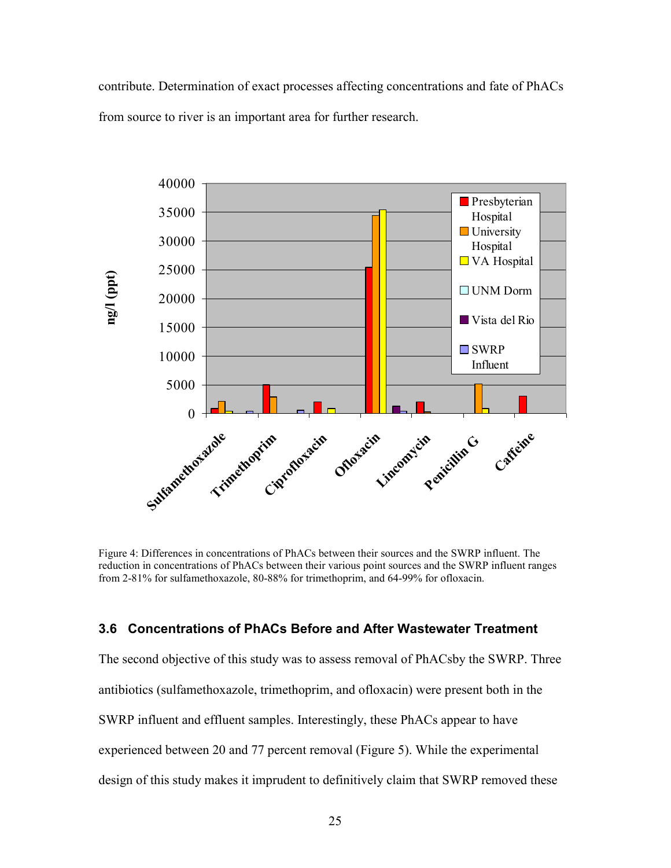contribute. Determination of exact processes affecting concentrations and fate of PhACs from source to river is an important area for further research.



Figure 4: Differences in concentrations of PhACs between their sources and the SWRP influent. The reduction in concentrations of PhACs between their various point sources and the SWRP influent ranges from 2-81% for sulfamethoxazole, 80-88% for trimethoprim, and 64-99% for ofloxacin.

#### **3.6 Concentrations of PhACs Before and After Wastewater Treatment**

The second objective of this study was to assess removal of PhACsby the SWRP. Three antibiotics (sulfamethoxazole, trimethoprim, and ofloxacin) were present both in the SWRP influent and effluent samples. Interestingly, these PhACs appear to have experienced between 20 and 77 percent removal (Figure 5). While the experimental design of this study makes it imprudent to definitively claim that SWRP removed these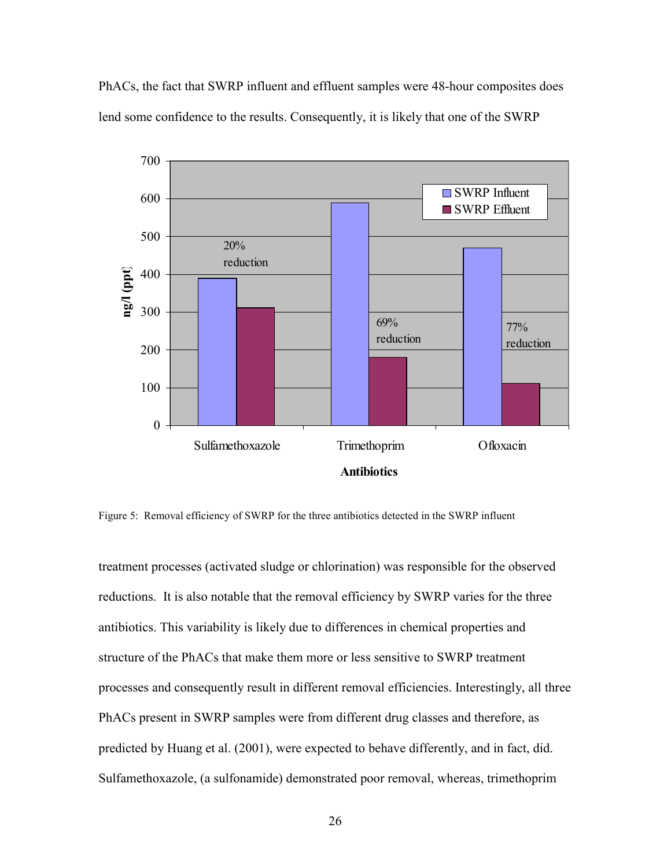PhACs, the fact that SWRP influent and effluent samples were 48-hour composites does lend some confidence to the results. Consequently, it is likely that one of the SWRP



Figure 5: Removal efficiency of SWRP for the three antibiotics detected in the SWRP influent

treatment processes (activated sludge or chlorination) was responsible for the observed reductions. It is also notable that the removal efficiency by SWRP varies for the three antibiotics. This variability is likely due to differences in chemical properties and structure of the PhACs that make them more or less sensitive to SWRP treatment processes and consequently result in different removal efficiencies. Interestingly, all three PhACs present in SWRP samples were from different drug classes and therefore, as predicted by Huang et al. (2001), were expected to behave differently, and in fact, did. Sulfamethoxazole, (a sulfonamide) demonstrated poor removal, whereas, trimethoprim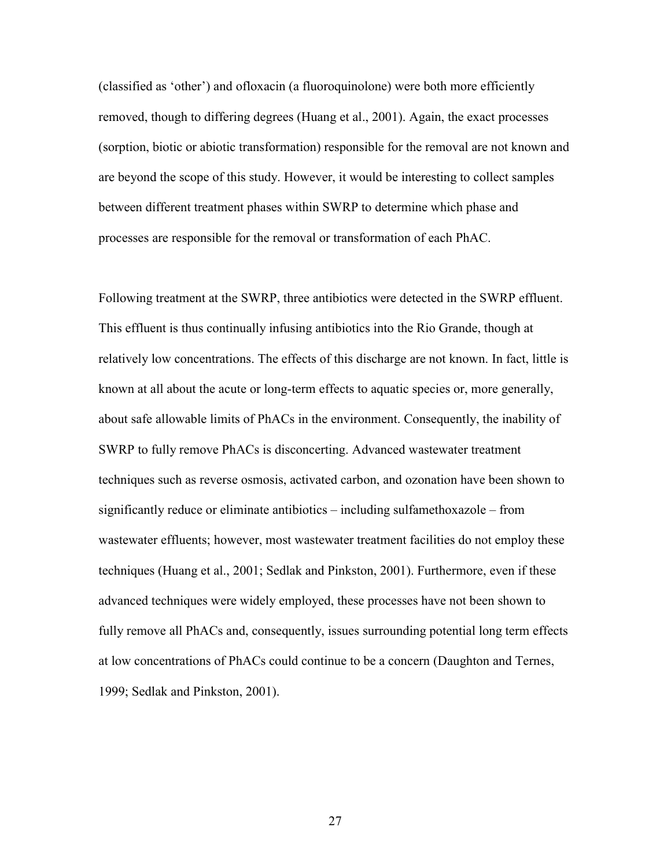(classified as 'other') and ofloxacin (a fluoroquinolone) were both more efficiently removed, though to differing degrees (Huang et al., 2001). Again, the exact processes (sorption, biotic or abiotic transformation) responsible for the removal are not known and are beyond the scope of this study. However, it would be interesting to collect samples between different treatment phases within SWRP to determine which phase and processes are responsible for the removal or transformation of each PhAC.

Following treatment at the SWRP, three antibiotics were detected in the SWRP effluent. This effluent is thus continually infusing antibiotics into the Rio Grande, though at relatively low concentrations. The effects of this discharge are not known. In fact, little is known at all about the acute or long-term effects to aquatic species or, more generally, about safe allowable limits of PhACs in the environment. Consequently, the inability of SWRP to fully remove PhACs is disconcerting. Advanced wastewater treatment techniques such as reverse osmosis, activated carbon, and ozonation have been shown to significantly reduce or eliminate antibiotics – including sulfamethoxazole – from wastewater effluents; however, most wastewater treatment facilities do not employ these techniques (Huang et al., 2001; Sedlak and Pinkston, 2001). Furthermore, even if these advanced techniques were widely employed, these processes have not been shown to fully remove all PhACs and, consequently, issues surrounding potential long term effects at low concentrations of PhACs could continue to be a concern (Daughton and Ternes, 1999; Sedlak and Pinkston, 2001).

<u>27</u>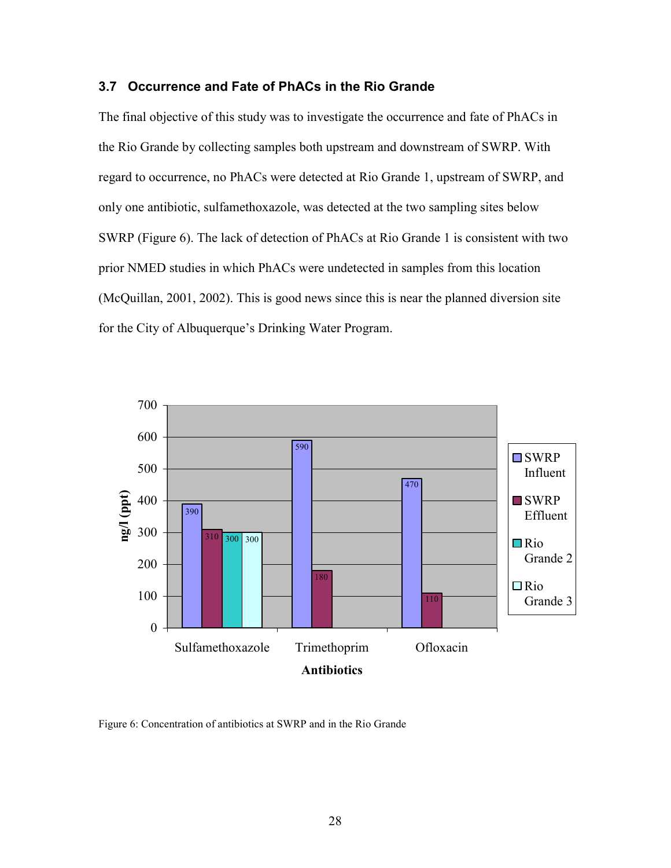# **3.7 Occurrence and Fate of PhACs in the Rio Grande**

The final objective of this study was to investigate the occurrence and fate of PhACs in the Rio Grande by collecting samples both upstream and downstream of SWRP. With regard to occurrence, no PhACs were detected at Rio Grande 1, upstream of SWRP, and only one antibiotic, sulfamethoxazole, was detected at the two sampling sites below SWRP (Figure 6). The lack of detection of PhACs at Rio Grande 1 is consistent with two prior NMED studies in which PhACs were undetected in samples from this location (McQuillan, 2001, 2002). This is good news since this is near the planned diversion site for the City of Albuquerque's Drinking Water Program.



Figure 6: Concentration of antibiotics at SWRP and in the Rio Grande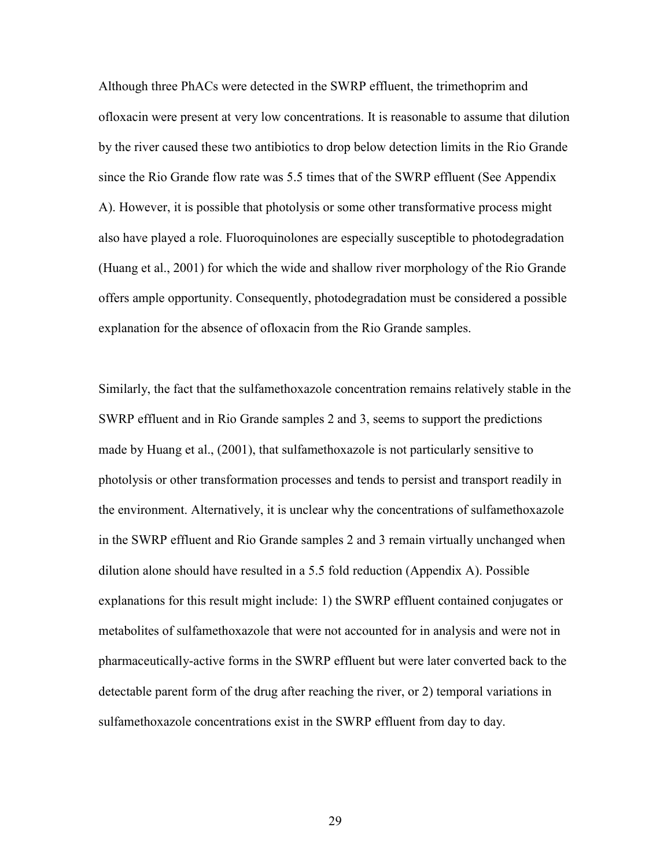Although three PhACs were detected in the SWRP effluent, the trimethoprim and ofloxacin were present at very low concentrations. It is reasonable to assume that dilution by the river caused these two antibiotics to drop below detection limits in the Rio Grande since the Rio Grande flow rate was 5.5 times that of the SWRP effluent (See Appendix A). However, it is possible that photolysis or some other transformative process might also have played a role. Fluoroquinolones are especially susceptible to photodegradation (Huang et al., 2001) for which the wide and shallow river morphology of the Rio Grande offers ample opportunity. Consequently, photodegradation must be considered a possible explanation for the absence of ofloxacin from the Rio Grande samples.

Similarly, the fact that the sulfamethoxazole concentration remains relatively stable in the SWRP effluent and in Rio Grande samples 2 and 3, seems to support the predictions made by Huang et al., (2001), that sulfamethoxazole is not particularly sensitive to photolysis or other transformation processes and tends to persist and transport readily in the environment. Alternatively, it is unclear why the concentrations of sulfamethoxazole in the SWRP effluent and Rio Grande samples 2 and 3 remain virtually unchanged when dilution alone should have resulted in a 5.5 fold reduction (Appendix A). Possible explanations for this result might include: 1) the SWRP effluent contained conjugates or metabolites of sulfamethoxazole that were not accounted for in analysis and were not in pharmaceutically-active forms in the SWRP effluent but were later converted back to the detectable parent form of the drug after reaching the river, or 2) temporal variations in sulfamethoxazole concentrations exist in the SWRP effluent from day to day.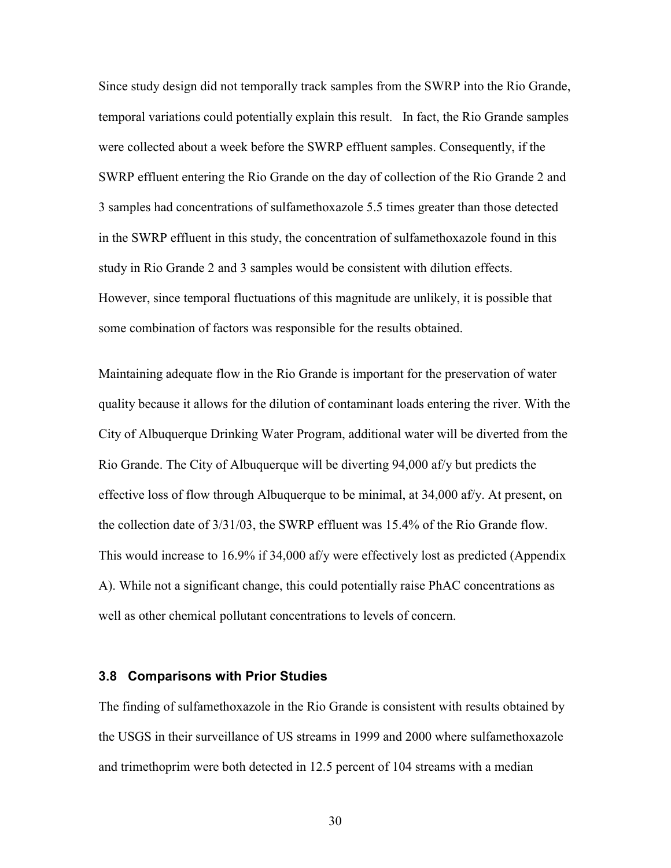Since study design did not temporally track samples from the SWRP into the Rio Grande, temporal variations could potentially explain this result. In fact, the Rio Grande samples were collected about a week before the SWRP effluent samples. Consequently, if the SWRP effluent entering the Rio Grande on the day of collection of the Rio Grande 2 and 3 samples had concentrations of sulfamethoxazole 5.5 times greater than those detected in the SWRP effluent in this study, the concentration of sulfamethoxazole found in this study in Rio Grande 2 and 3 samples would be consistent with dilution effects. However, since temporal fluctuations of this magnitude are unlikely, it is possible that some combination of factors was responsible for the results obtained.

Maintaining adequate flow in the Rio Grande is important for the preservation of water quality because it allows for the dilution of contaminant loads entering the river. With the City of Albuquerque Drinking Water Program, additional water will be diverted from the Rio Grande. The City of Albuquerque will be diverting 94,000 af/y but predicts the effective loss of flow through Albuquerque to be minimal, at 34,000 af/y. At present, on the collection date of 3/31/03, the SWRP effluent was 15.4% of the Rio Grande flow. This would increase to 16.9% if 34,000 af/y were effectively lost as predicted (Appendix A). While not a significant change, this could potentially raise PhAC concentrations as well as other chemical pollutant concentrations to levels of concern.

#### **3.8 Comparisons with Prior Studies**

The finding of sulfamethoxazole in the Rio Grande is consistent with results obtained by the USGS in their surveillance of US streams in 1999 and 2000 where sulfamethoxazole and trimethoprim were both detected in 12.5 percent of 104 streams with a median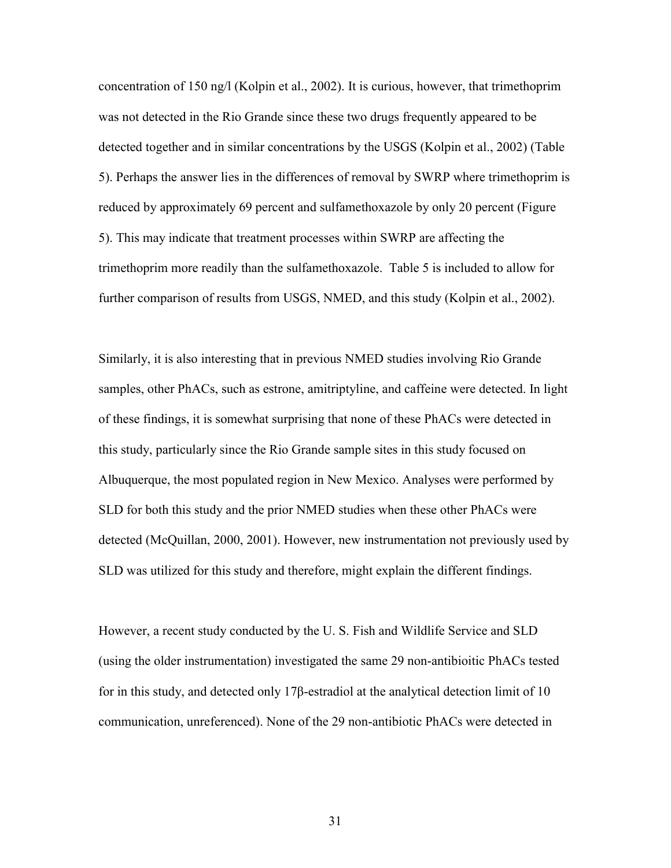concentration of 150 ng/l (Kolpin et al., 2002). It is curious, however, that trimethoprim was not detected in the Rio Grande since these two drugs frequently appeared to be detected together and in similar concentrations by the USGS (Kolpin et al., 2002) (Table 5). Perhaps the answer lies in the differences of removal by SWRP where trimethoprim is reduced by approximately 69 percent and sulfamethoxazole by only 20 percent (Figure 5). This may indicate that treatment processes within SWRP are affecting the trimethoprim more readily than the sulfamethoxazole. Table 5 is included to allow for further comparison of results from USGS, NMED, and this study (Kolpin et al., 2002).

Similarly, it is also interesting that in previous NMED studies involving Rio Grande samples, other PhACs, such as estrone, amitriptyline, and caffeine were detected. In light of these findings, it is somewhat surprising that none of these PhACs were detected in this study, particularly since the Rio Grande sample sites in this study focused on Albuquerque, the most populated region in New Mexico. Analyses were performed by SLD for both this study and the prior NMED studies when these other PhACs were detected (McQuillan, 2000, 2001). However, new instrumentation not previously used by SLD was utilized for this study and therefore, might explain the different findings.

However, a recent study conducted by the U. S. Fish and Wildlife Service and SLD (using the older instrumentation) investigated the same 29 non-antibioitic PhACs tested for in this study, and detected only 17β-estradiol at the analytical detection limit of 10 communication, unreferenced). None of the 29 non-antibiotic PhACs were detected in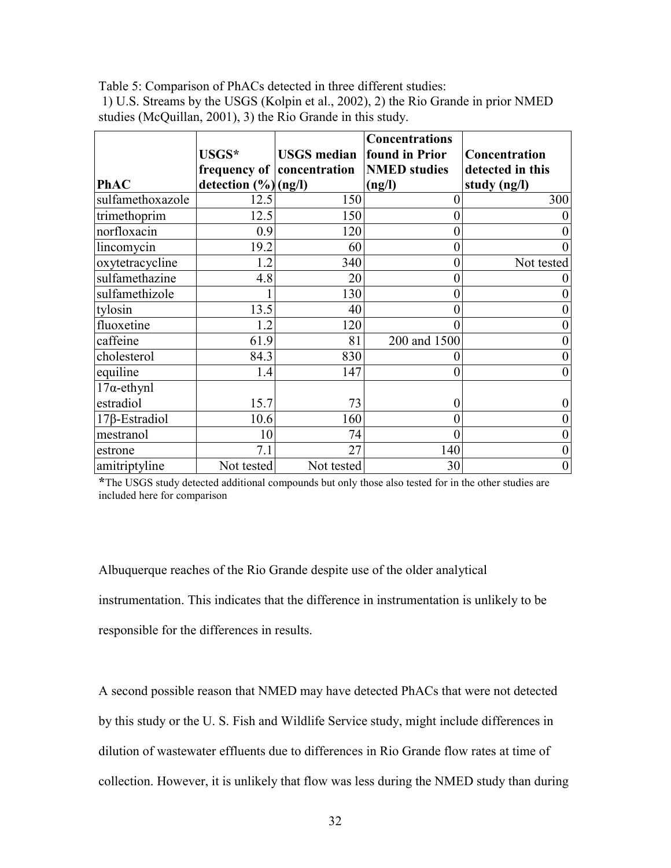Table 5: Comparison of PhACs detected in three different studies:

 1) U.S. Streams by the USGS (Kolpin et al., 2002), 2) the Rio Grande in prior NMED studies (McQuillan, 2001), 3) the Rio Grande in this study.

|                      | USGS*                  | <b>USGS</b> median found in Prior | <b>Concentrations</b> | Concentration    |
|----------------------|------------------------|-----------------------------------|-----------------------|------------------|
|                      |                        | frequency of concentration        | <b>NMED</b> studies   | detected in this |
| <b>PhAC</b>          | detection $(\%)(ng/l)$ |                                   | (ng/l)                | study (ng/l)     |
| sulfamethoxazole     | 12.5                   | 150                               | $\theta$              | 300              |
| trimethoprim         | 12.5                   | 150                               | $\theta$              | $\boldsymbol{0}$ |
| norfloxacin          | 0.9                    | 120                               |                       | $\boldsymbol{0}$ |
| lincomycin           | 19.2                   | 60                                | $\Omega$              | $\overline{0}$   |
| oxytetracycline      | 1.2                    | 340                               | $\theta$              | Not tested       |
| sulfamethazine       | 4.8                    | 20                                | $\theta$              | $\boldsymbol{0}$ |
| sulfamethizole       |                        | 130                               | $\theta$              | $\boldsymbol{0}$ |
| tylosin              | 13.5                   | 40                                | $\theta$              | $\boldsymbol{0}$ |
| fluoxetine           | 1.2                    | 120                               | $\Omega$              | $\boldsymbol{0}$ |
| caffeine             | 61.9                   | 81                                | 200 and 1500          | $\boldsymbol{0}$ |
| cholesterol          | 84.3                   | 830                               |                       | $\boldsymbol{0}$ |
| equiline             | 1.4                    | 147                               | $\theta$              | $\boldsymbol{0}$ |
| $17\alpha$ -ethynl   |                        |                                   |                       |                  |
| estradiol            | 15.7                   | 73                                | $\Omega$              | $\boldsymbol{0}$ |
| $17\beta$ -Estradiol | 10.6                   | 160                               | $\theta$              | $\boldsymbol{0}$ |
| mestranol            | 10                     | 74                                | $\theta$              | $\boldsymbol{0}$ |
| estrone              | 7.1                    | 27                                | 140                   | $\boldsymbol{0}$ |
| amitriptyline        | Not tested             | Not tested                        | 30                    | $\overline{0}$   |

**\***The USGS study detected additional compounds but only those also tested for in the other studies are included here for comparison

Albuquerque reaches of the Rio Grande despite use of the older analytical instrumentation. This indicates that the difference in instrumentation is unlikely to be responsible for the differences in results.

A second possible reason that NMED may have detected PhACs that were not detected by this study or the U. S. Fish and Wildlife Service study, might include differences in dilution of wastewater effluents due to differences in Rio Grande flow rates at time of collection. However, it is unlikely that flow was less during the NMED study than during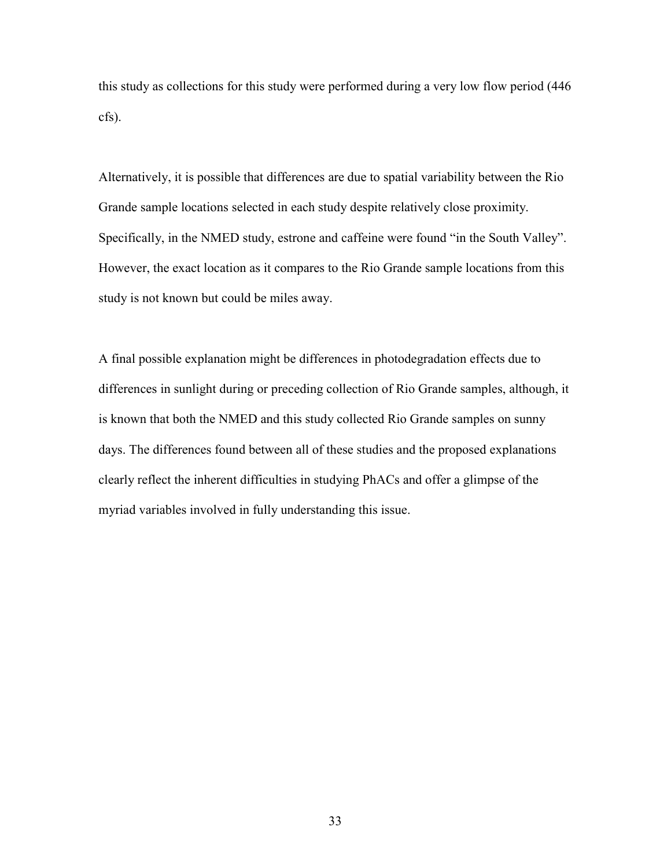this study as collections for this study were performed during a very low flow period (446 cfs).

Alternatively, it is possible that differences are due to spatial variability between the Rio Grande sample locations selected in each study despite relatively close proximity. Specifically, in the NMED study, estrone and caffeine were found "in the South Valley". However, the exact location as it compares to the Rio Grande sample locations from this study is not known but could be miles away.

A final possible explanation might be differences in photodegradation effects due to differences in sunlight during or preceding collection of Rio Grande samples, although, it is known that both the NMED and this study collected Rio Grande samples on sunny days. The differences found between all of these studies and the proposed explanations clearly reflect the inherent difficulties in studying PhACs and offer a glimpse of the myriad variables involved in fully understanding this issue.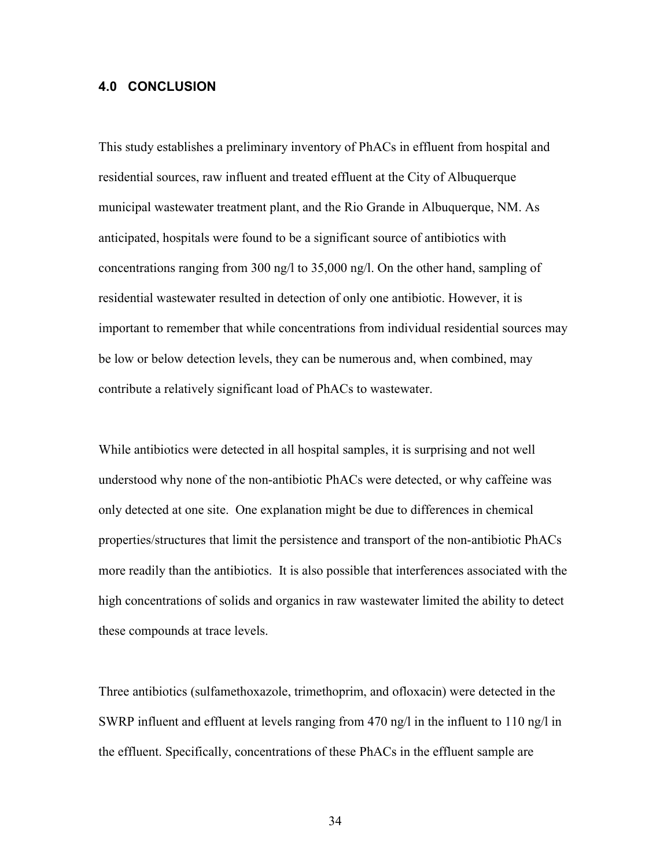## **4.0 CONCLUSION**

This study establishes a preliminary inventory of PhACs in effluent from hospital and residential sources, raw influent and treated effluent at the City of Albuquerque municipal wastewater treatment plant, and the Rio Grande in Albuquerque, NM. As anticipated, hospitals were found to be a significant source of antibiotics with concentrations ranging from 300 ng/l to 35,000 ng/l. On the other hand, sampling of residential wastewater resulted in detection of only one antibiotic. However, it is important to remember that while concentrations from individual residential sources may be low or below detection levels, they can be numerous and, when combined, may contribute a relatively significant load of PhACs to wastewater.

While antibiotics were detected in all hospital samples, it is surprising and not well understood why none of the non-antibiotic PhACs were detected, or why caffeine was only detected at one site. One explanation might be due to differences in chemical properties/structures that limit the persistence and transport of the non-antibiotic PhACs more readily than the antibiotics. It is also possible that interferences associated with the high concentrations of solids and organics in raw wastewater limited the ability to detect these compounds at trace levels.

Three antibiotics (sulfamethoxazole, trimethoprim, and ofloxacin) were detected in the SWRP influent and effluent at levels ranging from 470 ng/l in the influent to 110 ng/l in the effluent. Specifically, concentrations of these PhACs in the effluent sample are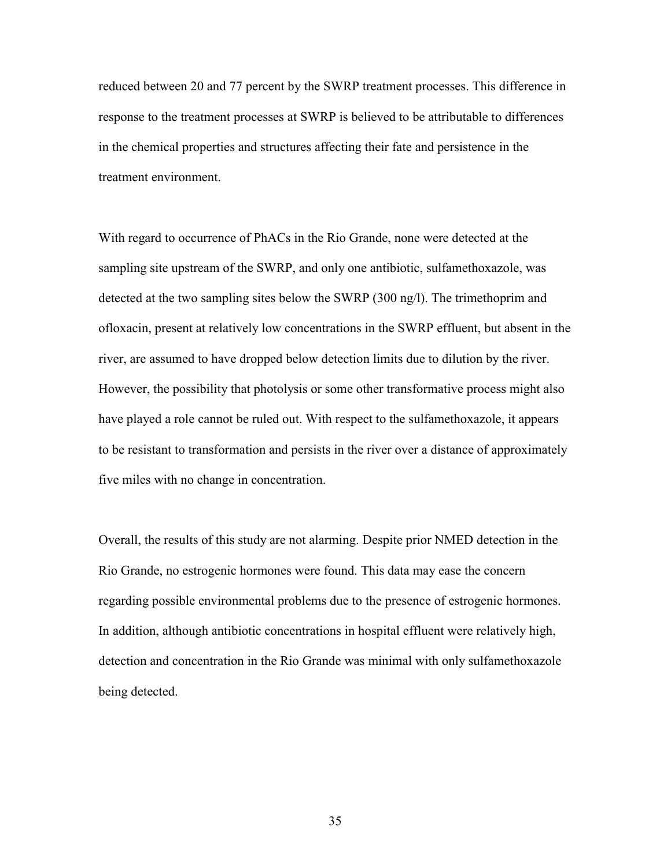reduced between 20 and 77 percent by the SWRP treatment processes. This difference in response to the treatment processes at SWRP is believed to be attributable to differences in the chemical properties and structures affecting their fate and persistence in the treatment environment.

With regard to occurrence of PhACs in the Rio Grande, none were detected at the sampling site upstream of the SWRP, and only one antibiotic, sulfamethoxazole, was detected at the two sampling sites below the SWRP (300 ng/l). The trimethoprim and ofloxacin, present at relatively low concentrations in the SWRP effluent, but absent in the river, are assumed to have dropped below detection limits due to dilution by the river. However, the possibility that photolysis or some other transformative process might also have played a role cannot be ruled out. With respect to the sulfamethoxazole, it appears to be resistant to transformation and persists in the river over a distance of approximately five miles with no change in concentration.

Overall, the results of this study are not alarming. Despite prior NMED detection in the Rio Grande, no estrogenic hormones were found. This data may ease the concern regarding possible environmental problems due to the presence of estrogenic hormones. In addition, although antibiotic concentrations in hospital effluent were relatively high, detection and concentration in the Rio Grande was minimal with only sulfamethoxazole being detected.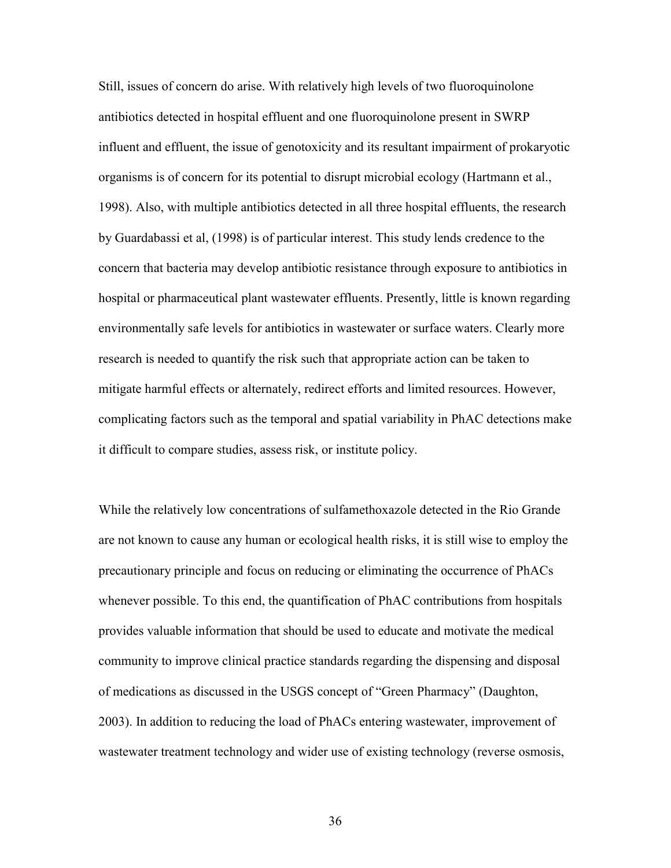Still, issues of concern do arise. With relatively high levels of two fluoroquinolone antibiotics detected in hospital effluent and one fluoroquinolone present in SWRP influent and effluent, the issue of genotoxicity and its resultant impairment of prokaryotic organisms is of concern for its potential to disrupt microbial ecology (Hartmann et al., 1998). Also, with multiple antibiotics detected in all three hospital effluents, the research by Guardabassi et al, (1998) is of particular interest. This study lends credence to the concern that bacteria may develop antibiotic resistance through exposure to antibiotics in hospital or pharmaceutical plant wastewater effluents. Presently, little is known regarding environmentally safe levels for antibiotics in wastewater or surface waters. Clearly more research is needed to quantify the risk such that appropriate action can be taken to mitigate harmful effects or alternately, redirect efforts and limited resources. However, complicating factors such as the temporal and spatial variability in PhAC detections make it difficult to compare studies, assess risk, or institute policy.

While the relatively low concentrations of sulfamethoxazole detected in the Rio Grande are not known to cause any human or ecological health risks, it is still wise to employ the precautionary principle and focus on reducing or eliminating the occurrence of PhACs whenever possible. To this end, the quantification of PhAC contributions from hospitals provides valuable information that should be used to educate and motivate the medical community to improve clinical practice standards regarding the dispensing and disposal of medications as discussed in the USGS concept of "Green Pharmacy" (Daughton, 2003). In addition to reducing the load of PhACs entering wastewater, improvement of wastewater treatment technology and wider use of existing technology (reverse osmosis,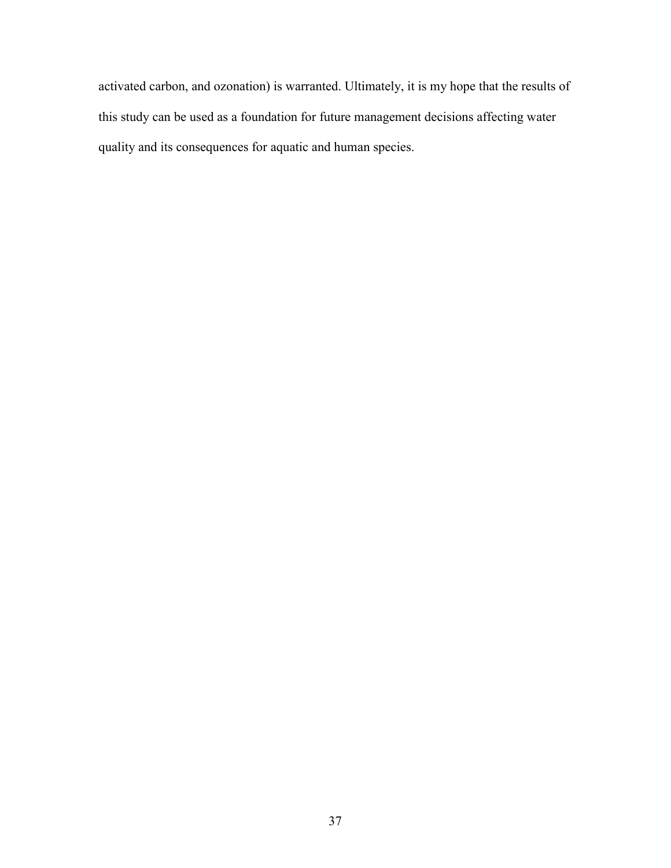activated carbon, and ozonation) is warranted. Ultimately, it is my hope that the results of this study can be used as a foundation for future management decisions affecting water quality and its consequences for aquatic and human species.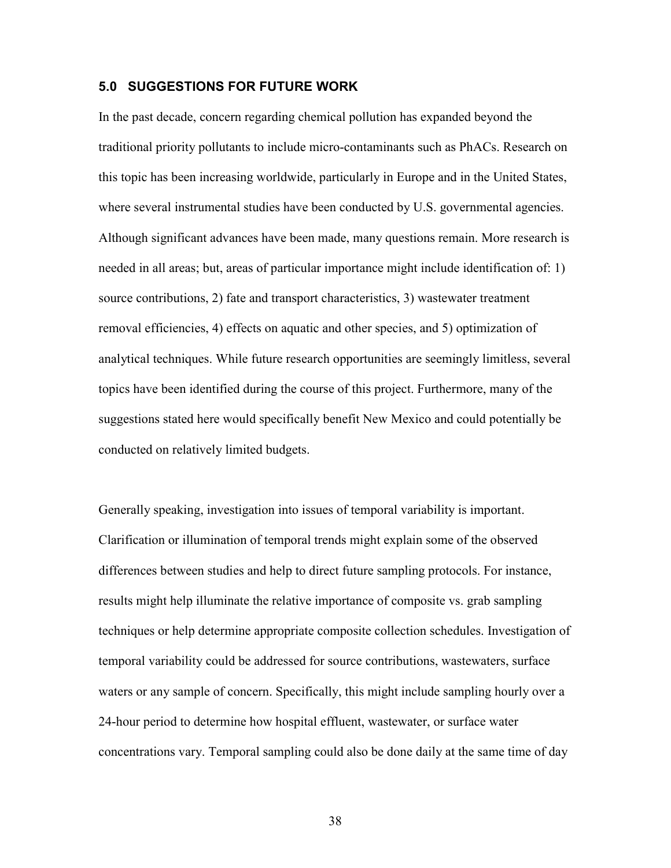#### **5.0 SUGGESTIONS FOR FUTURE WORK**

In the past decade, concern regarding chemical pollution has expanded beyond the traditional priority pollutants to include micro-contaminants such as PhACs. Research on this topic has been increasing worldwide, particularly in Europe and in the United States, where several instrumental studies have been conducted by U.S. governmental agencies. Although significant advances have been made, many questions remain. More research is needed in all areas; but, areas of particular importance might include identification of: 1) source contributions, 2) fate and transport characteristics, 3) wastewater treatment removal efficiencies, 4) effects on aquatic and other species, and 5) optimization of analytical techniques. While future research opportunities are seemingly limitless, several topics have been identified during the course of this project. Furthermore, many of the suggestions stated here would specifically benefit New Mexico and could potentially be conducted on relatively limited budgets.

Generally speaking, investigation into issues of temporal variability is important. Clarification or illumination of temporal trends might explain some of the observed differences between studies and help to direct future sampling protocols. For instance, results might help illuminate the relative importance of composite vs. grab sampling techniques or help determine appropriate composite collection schedules. Investigation of temporal variability could be addressed for source contributions, wastewaters, surface waters or any sample of concern. Specifically, this might include sampling hourly over a 24-hour period to determine how hospital effluent, wastewater, or surface water concentrations vary. Temporal sampling could also be done daily at the same time of day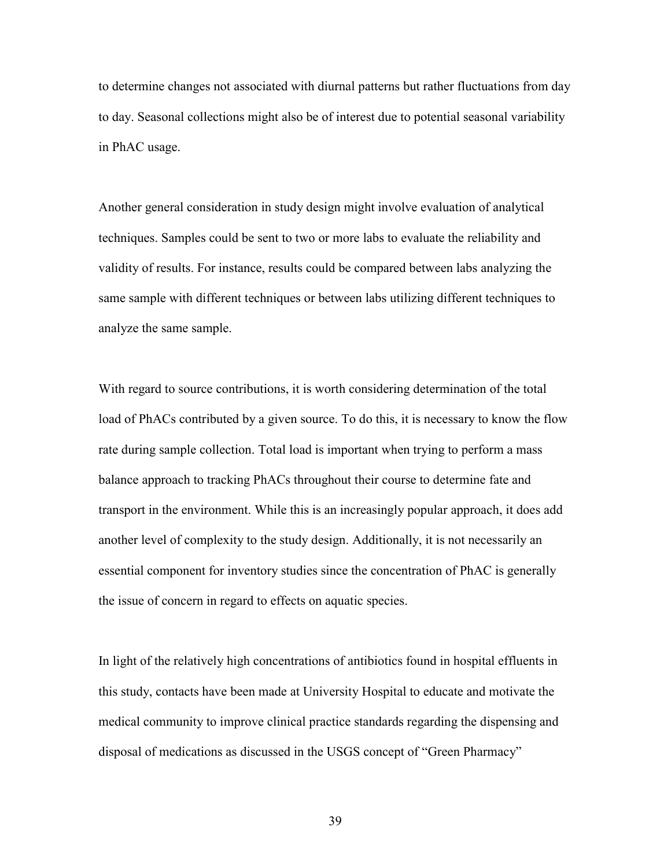to determine changes not associated with diurnal patterns but rather fluctuations from day to day. Seasonal collections might also be of interest due to potential seasonal variability in PhAC usage.

Another general consideration in study design might involve evaluation of analytical techniques. Samples could be sent to two or more labs to evaluate the reliability and validity of results. For instance, results could be compared between labs analyzing the same sample with different techniques or between labs utilizing different techniques to analyze the same sample.

With regard to source contributions, it is worth considering determination of the total load of PhACs contributed by a given source. To do this, it is necessary to know the flow rate during sample collection. Total load is important when trying to perform a mass balance approach to tracking PhACs throughout their course to determine fate and transport in the environment. While this is an increasingly popular approach, it does add another level of complexity to the study design. Additionally, it is not necessarily an essential component for inventory studies since the concentration of PhAC is generally the issue of concern in regard to effects on aquatic species.

In light of the relatively high concentrations of antibiotics found in hospital effluents in this study, contacts have been made at University Hospital to educate and motivate the medical community to improve clinical practice standards regarding the dispensing and disposal of medications as discussed in the USGS concept of "Green Pharmacy"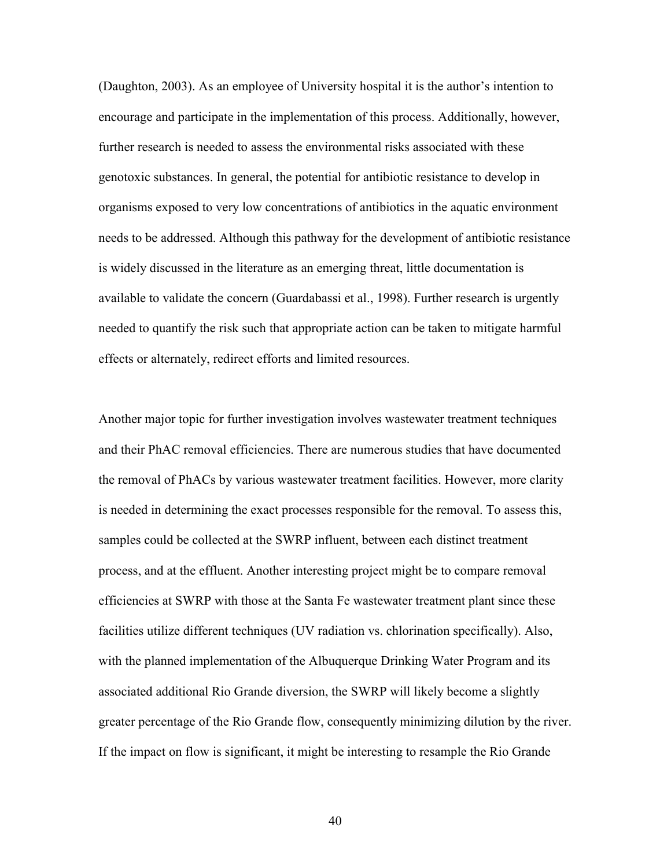(Daughton, 2003). As an employee of University hospital it is the author's intention to encourage and participate in the implementation of this process. Additionally, however, further research is needed to assess the environmental risks associated with these genotoxic substances. In general, the potential for antibiotic resistance to develop in organisms exposed to very low concentrations of antibiotics in the aquatic environment needs to be addressed. Although this pathway for the development of antibiotic resistance is widely discussed in the literature as an emerging threat, little documentation is available to validate the concern (Guardabassi et al., 1998). Further research is urgently needed to quantify the risk such that appropriate action can be taken to mitigate harmful effects or alternately, redirect efforts and limited resources.

Another major topic for further investigation involves wastewater treatment techniques and their PhAC removal efficiencies. There are numerous studies that have documented the removal of PhACs by various wastewater treatment facilities. However, more clarity is needed in determining the exact processes responsible for the removal. To assess this, samples could be collected at the SWRP influent, between each distinct treatment process, and at the effluent. Another interesting project might be to compare removal efficiencies at SWRP with those at the Santa Fe wastewater treatment plant since these facilities utilize different techniques (UV radiation vs. chlorination specifically). Also, with the planned implementation of the Albuquerque Drinking Water Program and its associated additional Rio Grande diversion, the SWRP will likely become a slightly greater percentage of the Rio Grande flow, consequently minimizing dilution by the river. If the impact on flow is significant, it might be interesting to resample the Rio Grande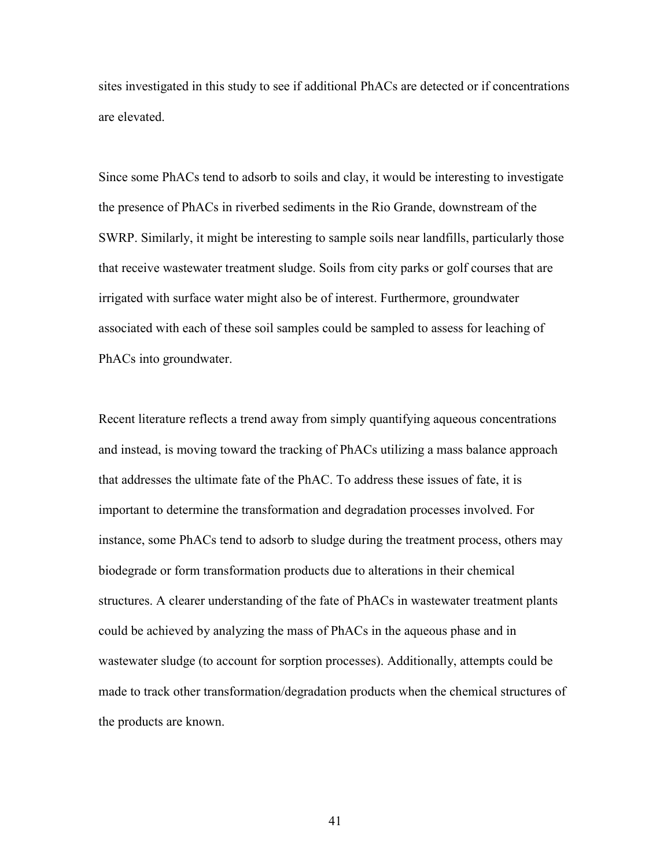sites investigated in this study to see if additional PhACs are detected or if concentrations are elevated.

Since some PhACs tend to adsorb to soils and clay, it would be interesting to investigate the presence of PhACs in riverbed sediments in the Rio Grande, downstream of the SWRP. Similarly, it might be interesting to sample soils near landfills, particularly those that receive wastewater treatment sludge. Soils from city parks or golf courses that are irrigated with surface water might also be of interest. Furthermore, groundwater associated with each of these soil samples could be sampled to assess for leaching of PhACs into groundwater.

Recent literature reflects a trend away from simply quantifying aqueous concentrations and instead, is moving toward the tracking of PhACs utilizing a mass balance approach that addresses the ultimate fate of the PhAC. To address these issues of fate, it is important to determine the transformation and degradation processes involved. For instance, some PhACs tend to adsorb to sludge during the treatment process, others may biodegrade or form transformation products due to alterations in their chemical structures. A clearer understanding of the fate of PhACs in wastewater treatment plants could be achieved by analyzing the mass of PhACs in the aqueous phase and in wastewater sludge (to account for sorption processes). Additionally, attempts could be made to track other transformation/degradation products when the chemical structures of the products are known.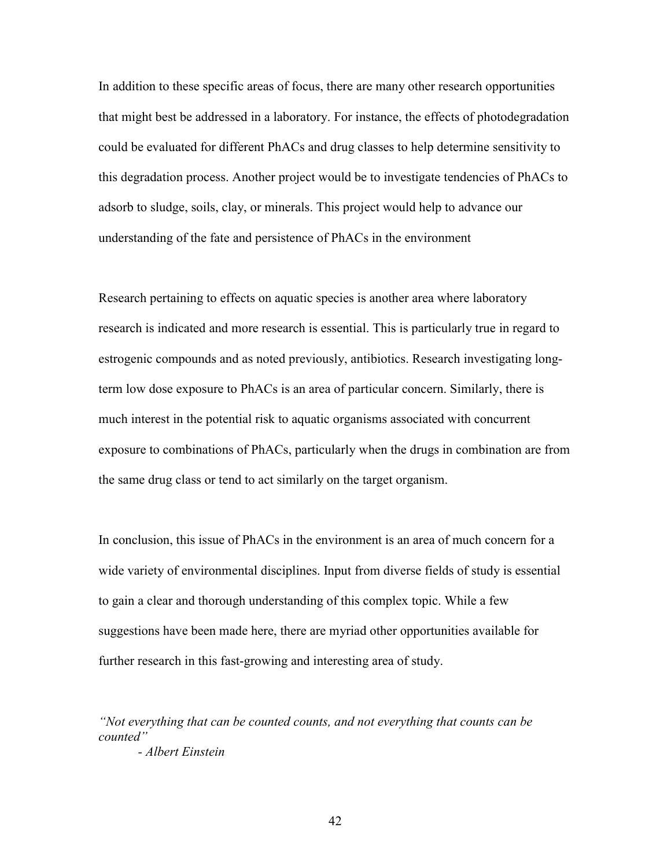In addition to these specific areas of focus, there are many other research opportunities that might best be addressed in a laboratory. For instance, the effects of photodegradation could be evaluated for different PhACs and drug classes to help determine sensitivity to this degradation process. Another project would be to investigate tendencies of PhACs to adsorb to sludge, soils, clay, or minerals. This project would help to advance our understanding of the fate and persistence of PhACs in the environment

Research pertaining to effects on aquatic species is another area where laboratory research is indicated and more research is essential. This is particularly true in regard to estrogenic compounds and as noted previously, antibiotics. Research investigating longterm low dose exposure to PhACs is an area of particular concern. Similarly, there is much interest in the potential risk to aquatic organisms associated with concurrent exposure to combinations of PhACs, particularly when the drugs in combination are from the same drug class or tend to act similarly on the target organism.

In conclusion, this issue of PhACs in the environment is an area of much concern for a wide variety of environmental disciplines. Input from diverse fields of study is essential to gain a clear and thorough understanding of this complex topic. While a few suggestions have been made here, there are myriad other opportunities available for further research in this fast-growing and interesting area of study.

*"Not everything that can be counted counts, and not everything that counts can be counted"* 

*- Albert Einstein*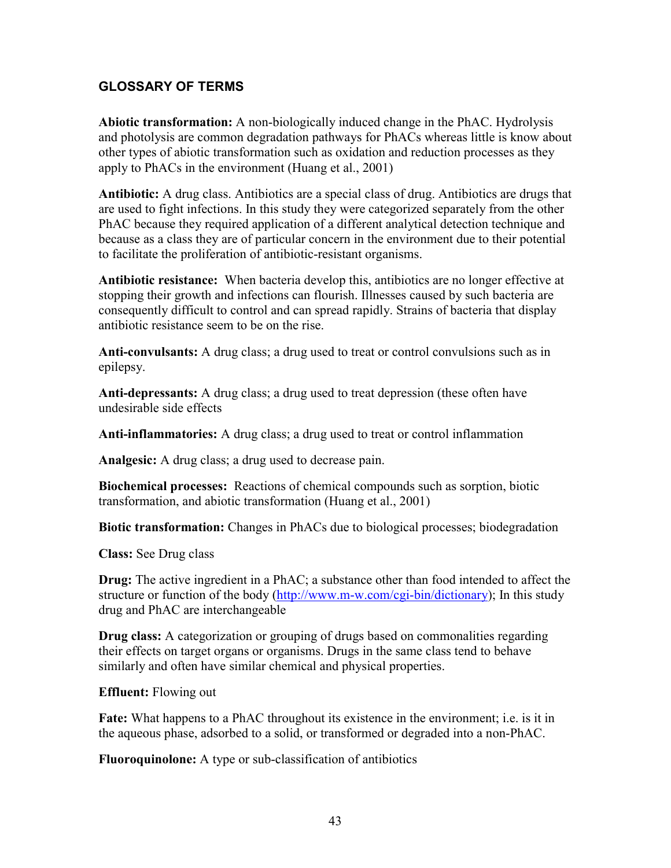## **GLOSSARY OF TERMS**

**Abiotic transformation:** A non-biologically induced change in the PhAC. Hydrolysis and photolysis are common degradation pathways for PhACs whereas little is know about other types of abiotic transformation such as oxidation and reduction processes as they apply to PhACs in the environment (Huang et al., 2001)

**Antibiotic:** A drug class. Antibiotics are a special class of drug. Antibiotics are drugs that are used to fight infections. In this study they were categorized separately from the other PhAC because they required application of a different analytical detection technique and because as a class they are of particular concern in the environment due to their potential to facilitate the proliferation of antibiotic-resistant organisms.

**Antibiotic resistance:** When bacteria develop this, antibiotics are no longer effective at stopping their growth and infections can flourish. Illnesses caused by such bacteria are consequently difficult to control and can spread rapidly. Strains of bacteria that display antibiotic resistance seem to be on the rise.

**Anti-convulsants:** A drug class; a drug used to treat or control convulsions such as in epilepsy.

**Anti-depressants:** A drug class; a drug used to treat depression (these often have undesirable side effects

**Anti-inflammatories:** A drug class; a drug used to treat or control inflammation

**Analgesic:** A drug class; a drug used to decrease pain.

**Biochemical processes:** Reactions of chemical compounds such as sorption, biotic transformation, and abiotic transformation (Huang et al., 2001)

**Biotic transformation:** Changes in PhACs due to biological processes; biodegradation

**Class:** See Drug class

**Drug:** The active ingredient in a PhAC; a substance other than food intended to affect the structure or function of the body (http://www.m-w.com/cgi-bin/dictionary); In this study drug and PhAC are interchangeable

**Drug class:** A categorization or grouping of drugs based on commonalities regarding their effects on target organs or organisms. Drugs in the same class tend to behave similarly and often have similar chemical and physical properties.

**Effluent:** Flowing out

**Fate:** What happens to a PhAC throughout its existence in the environment; i.e. is it in the aqueous phase, adsorbed to a solid, or transformed or degraded into a non-PhAC.

**Fluoroquinolone:** A type or sub-classification of antibiotics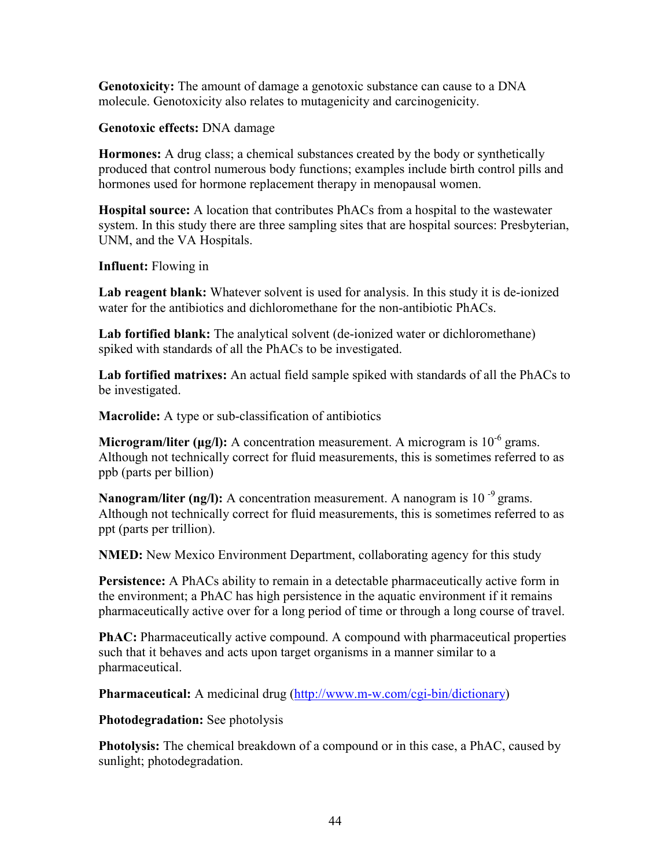**Genotoxicity:** The amount of damage a genotoxic substance can cause to a DNA molecule. Genotoxicity also relates to mutagenicity and carcinogenicity.

**Genotoxic effects:** DNA damage

**Hormones:** A drug class; a chemical substances created by the body or synthetically produced that control numerous body functions; examples include birth control pills and hormones used for hormone replacement therapy in menopausal women.

**Hospital source:** A location that contributes PhACs from a hospital to the wastewater system. In this study there are three sampling sites that are hospital sources: Presbyterian, UNM, and the VA Hospitals.

**Influent:** Flowing in

Lab reagent blank: Whatever solvent is used for analysis. In this study it is de-ionized water for the antibiotics and dichloromethane for the non-antibiotic PhACs.

**Lab fortified blank:** The analytical solvent (de-ionized water or dichloromethane) spiked with standards of all the PhACs to be investigated.

**Lab fortified matrixes:** An actual field sample spiked with standards of all the PhACs to be investigated.

**Macrolide:** A type or sub-classification of antibiotics

**Microgram/liter (** $\mu$ **g/l):** A concentration measurement. A microgram is  $10^{-6}$  grams. Although not technically correct for fluid measurements, this is sometimes referred to as ppb (parts per billion)

Nanogram/liter (ng/l): A concentration measurement. A nanogram is 10<sup>-9</sup> grams. Although not technically correct for fluid measurements, this is sometimes referred to as ppt (parts per trillion).

**NMED:** New Mexico Environment Department, collaborating agency for this study

**Persistence:** A PhACs ability to remain in a detectable pharmaceutically active form in the environment; a PhAC has high persistence in the aquatic environment if it remains pharmaceutically active over for a long period of time or through a long course of travel.

**PhAC:** Pharmaceutically active compound. A compound with pharmaceutical properties such that it behaves and acts upon target organisms in a manner similar to a pharmaceutical.

**Pharmaceutical:** A medicinal drug (http://www.m-w.com/cgi-bin/dictionary)

**Photodegradation:** See photolysis

**Photolysis:** The chemical breakdown of a compound or in this case, a PhAC, caused by sunlight; photodegradation.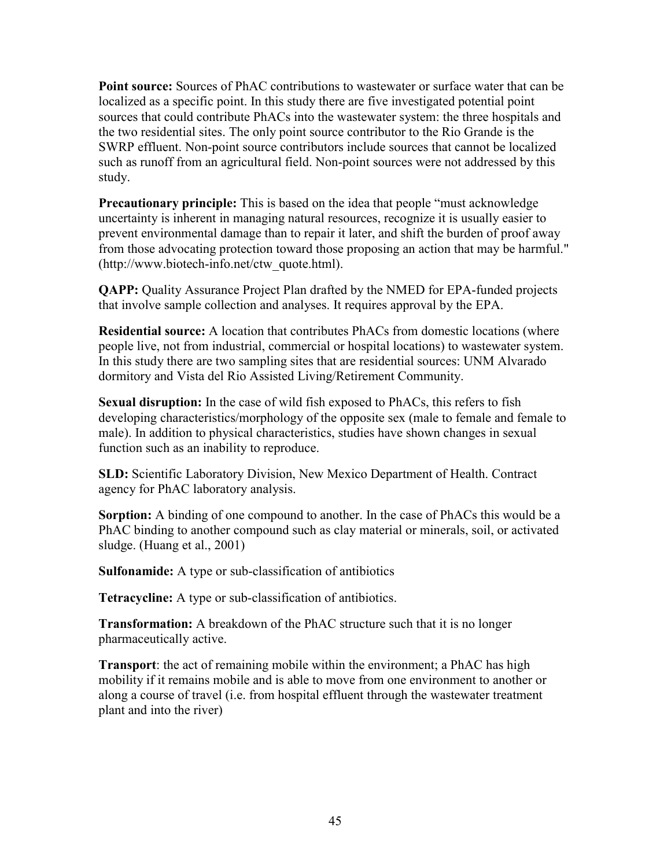**Point source:** Sources of PhAC contributions to wastewater or surface water that can be localized as a specific point. In this study there are five investigated potential point sources that could contribute PhACs into the wastewater system: the three hospitals and the two residential sites. The only point source contributor to the Rio Grande is the SWRP effluent. Non-point source contributors include sources that cannot be localized such as runoff from an agricultural field. Non-point sources were not addressed by this study.

**Precautionary principle:** This is based on the idea that people "must acknowledge uncertainty is inherent in managing natural resources, recognize it is usually easier to prevent environmental damage than to repair it later, and shift the burden of proof away from those advocating protection toward those proposing an action that may be harmful." (http://www.biotech-info.net/ctw\_quote.html).

**QAPP:** Quality Assurance Project Plan drafted by the NMED for EPA-funded projects that involve sample collection and analyses. It requires approval by the EPA.

**Residential source:** A location that contributes PhACs from domestic locations (where people live, not from industrial, commercial or hospital locations) to wastewater system. In this study there are two sampling sites that are residential sources: UNM Alvarado dormitory and Vista del Rio Assisted Living/Retirement Community.

**Sexual disruption:** In the case of wild fish exposed to PhACs, this refers to fish developing characteristics/morphology of the opposite sex (male to female and female to male). In addition to physical characteristics, studies have shown changes in sexual function such as an inability to reproduce.

**SLD:** Scientific Laboratory Division, New Mexico Department of Health. Contract agency for PhAC laboratory analysis.

**Sorption:** A binding of one compound to another. In the case of PhACs this would be a PhAC binding to another compound such as clay material or minerals, soil, or activated sludge. (Huang et al., 2001)

**Sulfonamide:** A type or sub-classification of antibiotics

**Tetracycline:** A type or sub-classification of antibiotics.

**Transformation:** A breakdown of the PhAC structure such that it is no longer pharmaceutically active.

**Transport**: the act of remaining mobile within the environment; a PhAC has high mobility if it remains mobile and is able to move from one environment to another or along a course of travel (i.e. from hospital effluent through the wastewater treatment plant and into the river)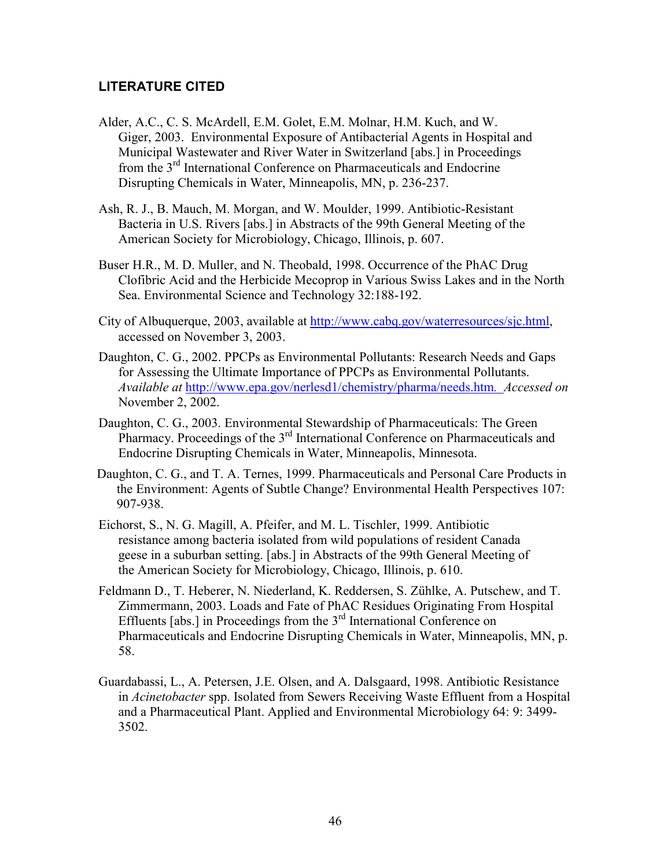# **LITERATURE CITED**

- Alder, A.C., C. S. McArdell, E.M. Golet, E.M. Molnar, H.M. Kuch, and W. Giger, 2003. Environmental Exposure of Antibacterial Agents in Hospital and Municipal Wastewater and River Water in Switzerland [abs.] in Proceedings from the 3rd International Conference on Pharmaceuticals and Endocrine Disrupting Chemicals in Water, Minneapolis, MN, p. 236-237.
- Ash, R. J., B. Mauch, M. Morgan, and W. Moulder, 1999. Antibiotic-Resistant Bacteria in U.S. Rivers [abs.] in Abstracts of the 99th General Meeting of the American Society for Microbiology, Chicago, Illinois, p. 607.
- Buser H.R., M. D. Muller, and N. Theobald, 1998. Occurrence of the PhAC Drug Clofibric Acid and the Herbicide Mecoprop in Various Swiss Lakes and in the North Sea. Environmental Science and Technology 32:188-192.
- City of Albuquerque, 2003, available at http://www.cabq.gov/waterresources/sjc.html, accessed on November 3, 2003.
- Daughton, C. G., 2002. PPCPs as Environmental Pollutants: Research Needs and Gaps for Assessing the Ultimate Importance of PPCPs as Environmental Pollutants. *Available at* http://www.epa.gov/nerlesd1/chemistry/pharma/needs.htm*. Accessed on*  November 2, 2002.
- Daughton, C. G., 2003. Environmental Stewardship of Pharmaceuticals: The Green Pharmacy. Proceedings of the  $3<sup>rd</sup>$  International Conference on Pharmaceuticals and Endocrine Disrupting Chemicals in Water, Minneapolis, Minnesota.
- Daughton, C. G., and T. A. Ternes, 1999. Pharmaceuticals and Personal Care Products in the Environment: Agents of Subtle Change? Environmental Health Perspectives 107: 907-938.
- Eichorst, S., N. G. Magill, A. Pfeifer, and M. L. Tischler, 1999. Antibiotic resistance among bacteria isolated from wild populations of resident Canada geese in a suburban setting. [abs.] in Abstracts of the 99th General Meeting of the American Society for Microbiology, Chicago, Illinois, p. 610.
- Feldmann D., T. Heberer, N. Niederland, K. Reddersen, S. Zühlke, A. Putschew, and T. Zimmermann, 2003. Loads and Fate of PhAC Residues Originating From Hospital Effluents [abs.] in Proceedings from the  $3<sup>rd</sup>$  International Conference on Pharmaceuticals and Endocrine Disrupting Chemicals in Water, Minneapolis, MN, p. 58.
- Guardabassi, L., A. Petersen, J.E. Olsen, and A. Dalsgaard, 1998. Antibiotic Resistance in *Acinetobacter* spp. Isolated from Sewers Receiving Waste Effluent from a Hospital and a Pharmaceutical Plant. Applied and Environmental Microbiology 64: 9: 3499- 3502.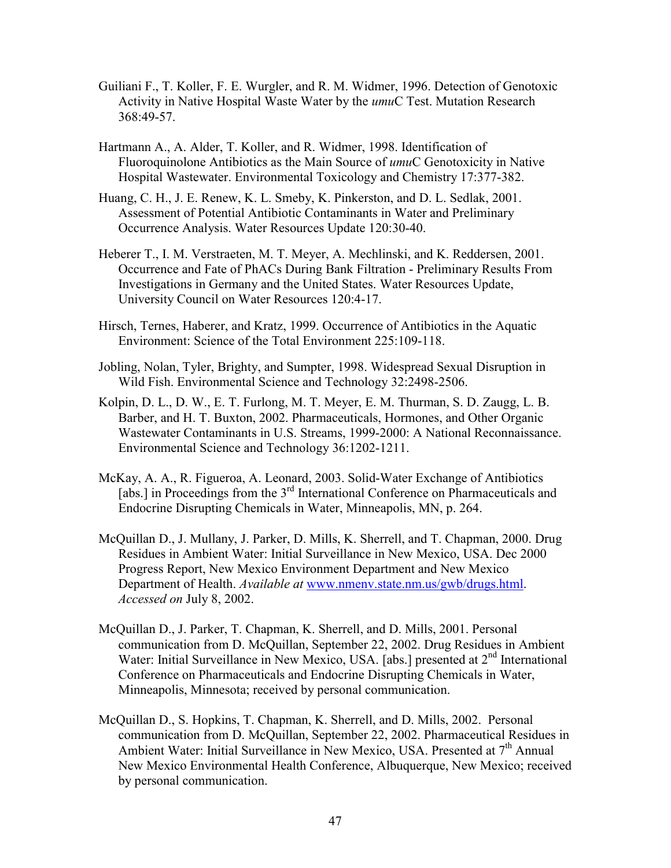- Guiliani F., T. Koller, F. E. Wurgler, and R. M. Widmer, 1996. Detection of Genotoxic Activity in Native Hospital Waste Water by the *umu*C Test. Mutation Research 368:49-57.
- Hartmann A., A. Alder, T. Koller, and R. Widmer, 1998. Identification of Fluoroquinolone Antibiotics as the Main Source of *umu*C Genotoxicity in Native Hospital Wastewater. Environmental Toxicology and Chemistry 17:377-382.
- Huang, C. H., J. E. Renew, K. L. Smeby, K. Pinkerston, and D. L. Sedlak, 2001. Assessment of Potential Antibiotic Contaminants in Water and Preliminary Occurrence Analysis. Water Resources Update 120:30-40.
- Heberer T., I. M. Verstraeten, M. T. Meyer, A. Mechlinski, and K. Reddersen, 2001. Occurrence and Fate of PhACs During Bank Filtration - Preliminary Results From Investigations in Germany and the United States. Water Resources Update, University Council on Water Resources 120:4-17.
- Hirsch, Ternes, Haberer, and Kratz, 1999. Occurrence of Antibiotics in the Aquatic Environment: Science of the Total Environment 225:109-118.
- Jobling, Nolan, Tyler, Brighty, and Sumpter, 1998. Widespread Sexual Disruption in Wild Fish. Environmental Science and Technology 32:2498-2506.
- Kolpin, D. L., D. W., E. T. Furlong, M. T. Meyer, E. M. Thurman, S. D. Zaugg, L. B. Barber, and H. T. Buxton, 2002. Pharmaceuticals, Hormones, and Other Organic Wastewater Contaminants in U.S. Streams, 1999-2000: A National Reconnaissance. Environmental Science and Technology 36:1202-1211.
- McKay, A. A., R. Figueroa, A. Leonard, 2003. Solid-Water Exchange of Antibiotics [abs.] in Proceedings from the 3<sup>rd</sup> International Conference on Pharmaceuticals and Endocrine Disrupting Chemicals in Water, Minneapolis, MN, p. 264.
- McQuillan D., J. Mullany, J. Parker, D. Mills, K. Sherrell, and T. Chapman, 2000. Drug Residues in Ambient Water: Initial Surveillance in New Mexico, USA. Dec 2000 Progress Report, New Mexico Environment Department and New Mexico Department of Health. *Available at* www.nmenv.state.nm.us/gwb/drugs.html. *Accessed on* July 8, 2002.
- McQuillan D., J. Parker, T. Chapman, K. Sherrell, and D. Mills, 2001. Personal communication from D. McQuillan, September 22, 2002. Drug Residues in Ambient Water: Initial Surveillance in New Mexico, USA. [abs.] presented at 2<sup>nd</sup> International Conference on Pharmaceuticals and Endocrine Disrupting Chemicals in Water, Minneapolis, Minnesota; received by personal communication.
- McQuillan D., S. Hopkins, T. Chapman, K. Sherrell, and D. Mills, 2002. Personal communication from D. McQuillan, September 22, 2002. Pharmaceutical Residues in Ambient Water: Initial Surveillance in New Mexico, USA. Presented at  $7<sup>th</sup>$  Annual New Mexico Environmental Health Conference, Albuquerque, New Mexico; received by personal communication.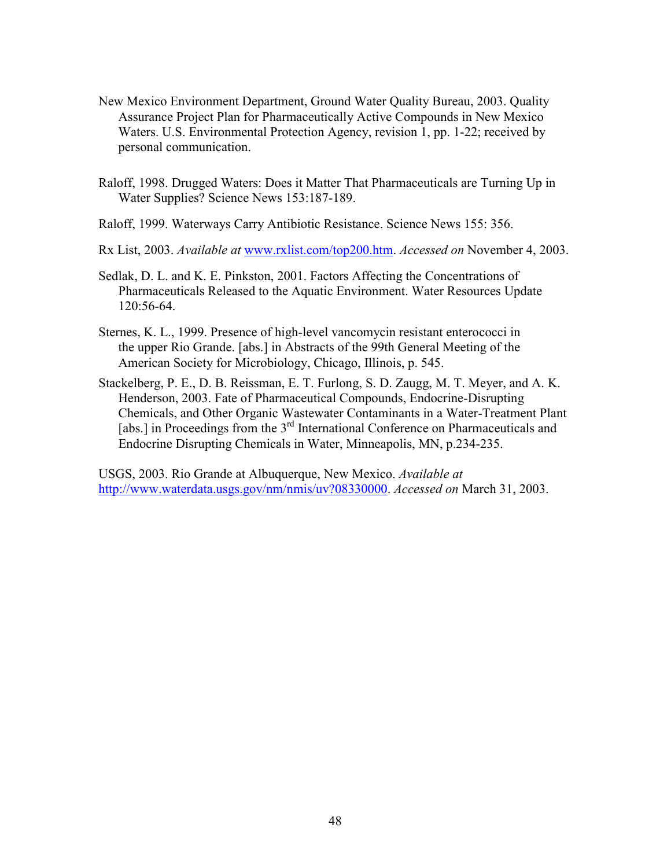- New Mexico Environment Department, Ground Water Quality Bureau, 2003. Quality Assurance Project Plan for Pharmaceutically Active Compounds in New Mexico Waters. U.S. Environmental Protection Agency, revision 1, pp. 1-22; received by personal communication.
- Raloff, 1998. Drugged Waters: Does it Matter That Pharmaceuticals are Turning Up in Water Supplies? Science News 153:187-189.
- Raloff, 1999. Waterways Carry Antibiotic Resistance. Science News 155: 356.
- Rx List, 2003. *Available at* www.rxlist.com/top200.htm. *Accessed on* November 4, 2003.
- Sedlak, D. L. and K. E. Pinkston, 2001. Factors Affecting the Concentrations of Pharmaceuticals Released to the Aquatic Environment. Water Resources Update 120:56-64.
- Sternes, K. L., 1999. Presence of high-level vancomycin resistant enterococci in the upper Rio Grande. [abs.] in Abstracts of the 99th General Meeting of the American Society for Microbiology, Chicago, Illinois, p. 545.
- Stackelberg, P. E., D. B. Reissman, E. T. Furlong, S. D. Zaugg, M. T. Meyer, and A. K. Henderson, 2003. Fate of Pharmaceutical Compounds, Endocrine-Disrupting Chemicals, and Other Organic Wastewater Contaminants in a Water-Treatment Plant [abs.] in Proceedings from the 3<sup>rd</sup> International Conference on Pharmaceuticals and Endocrine Disrupting Chemicals in Water, Minneapolis, MN, p.234-235.

USGS, 2003. Rio Grande at Albuquerque, New Mexico. *Available at*  http://www.waterdata.usgs.gov/nm/nmis/uv?08330000. *Accessed on* March 31, 2003.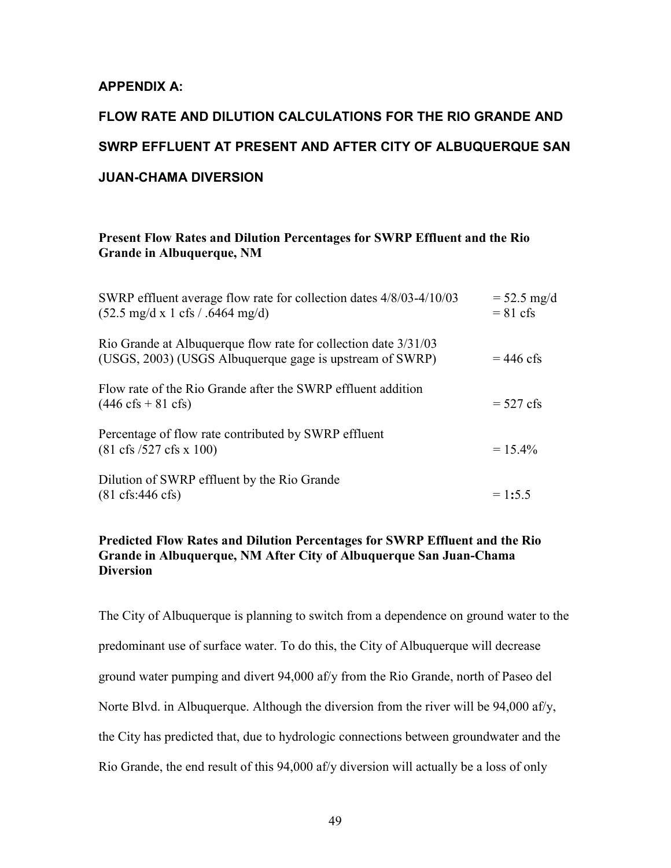## **APPENDIX A:**

# **FLOW RATE AND DILUTION CALCULATIONS FOR THE RIO GRANDE AND SWRP EFFLUENT AT PRESENT AND AFTER CITY OF ALBUQUERQUE SAN JUAN-CHAMA DIVERSION**

#### **Present Flow Rates and Dilution Percentages for SWRP Effluent and the Rio Grande in Albuquerque, NM**

| SWRP effluent average flow rate for collection dates 4/8/03-4/10/03<br>$(52.5 \text{ mg/d x} 1 \text{ cfs} / .6464 \text{ mg/d})$ | $= 52.5$ mg/d<br>$= 81 \text{ cfs}$ |
|-----------------------------------------------------------------------------------------------------------------------------------|-------------------------------------|
| Rio Grande at Albuquerque flow rate for collection date 3/31/03<br>(USGS, 2003) (USGS Albuquerque gage is upstream of SWRP)       | $= 446$ cfs                         |
| Flow rate of the Rio Grande after the SWRP effluent addition<br>$(446 \text{ cfs} + 81 \text{ cfs})$                              | $= 527 \text{ cfs}$                 |
| Percentage of flow rate contributed by SWRP effluent<br>$(81 \text{ cfs } 527 \text{ cfs } x 100)$                                | $= 15.4\%$                          |
| Dilution of SWRP effluent by the Rio Grande<br>$(81 \text{ cfs}: 446 \text{ cfs})$                                                | $= 1:5.5$                           |

#### **Predicted Flow Rates and Dilution Percentages for SWRP Effluent and the Rio Grande in Albuquerque, NM After City of Albuquerque San Juan-Chama Diversion**

The City of Albuquerque is planning to switch from a dependence on ground water to the predominant use of surface water. To do this, the City of Albuquerque will decrease ground water pumping and divert 94,000 af/y from the Rio Grande, north of Paseo del Norte Blvd. in Albuquerque. Although the diversion from the river will be 94,000 af/y, the City has predicted that, due to hydrologic connections between groundwater and the Rio Grande, the end result of this 94,000 af/y diversion will actually be a loss of only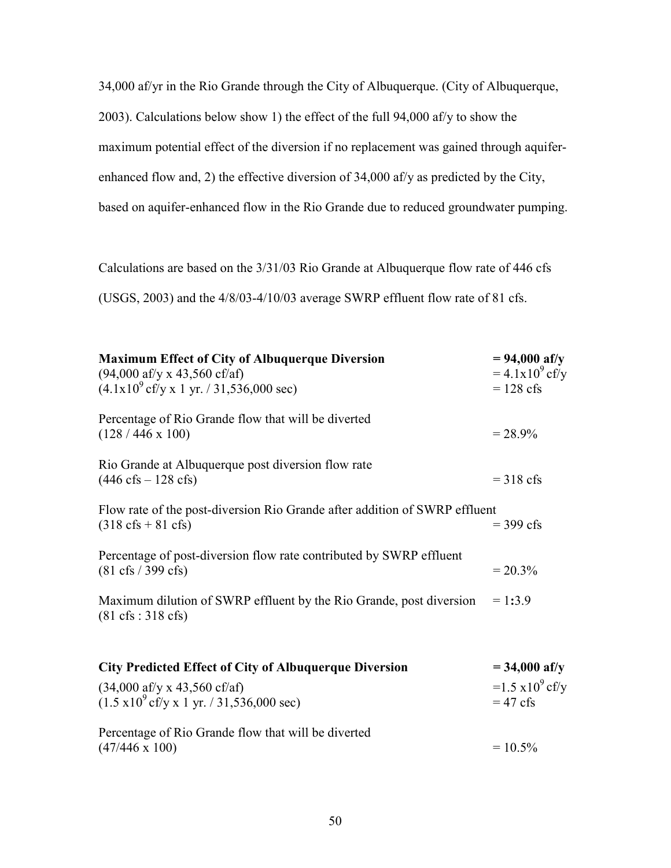34,000 af/yr in the Rio Grande through the City of Albuquerque. (City of Albuquerque, 2003). Calculations below show 1) the effect of the full 94,000 af/y to show the maximum potential effect of the diversion if no replacement was gained through aquiferenhanced flow and, 2) the effective diversion of 34,000 af/y as predicted by the City, based on aquifer-enhanced flow in the Rio Grande due to reduced groundwater pumping.

Calculations are based on the 3/31/03 Rio Grande at Albuquerque flow rate of 446 cfs (USGS, 2003) and the 4/8/03-4/10/03 average SWRP effluent flow rate of 81 cfs.

| <b>Maximum Effect of City of Albuquerque Diversion</b><br>$(94,000 \text{ af/y x } 43,560 \text{ cf/af})$<br>$(4.1x109$ cf/y x 1 yr. / 31,536,000 sec) | $= 94,000$ af/y<br>$= 4.1x10^{9}$ cf/y<br>$= 128$ cfs   |
|--------------------------------------------------------------------------------------------------------------------------------------------------------|---------------------------------------------------------|
| Percentage of Rio Grande flow that will be diverted<br>$(128/446 \times 100)$                                                                          | $= 28.9\%$                                              |
| Rio Grande at Albuquerque post diversion flow rate<br>$(446 \text{ cfs} - 128 \text{ cfs})$                                                            | $=$ 318 cfs                                             |
| Flow rate of the post-diversion Rio Grande after addition of SWRP effluent<br>$(318 \text{ cfs} + 81 \text{ cfs})$                                     | $=$ 399 cfs                                             |
| Percentage of post-diversion flow rate contributed by SWRP effluent<br>$(81 \text{ cfs} / 399 \text{ cfs})$                                            | $= 20.3\%$                                              |
| Maximum dilution of SWRP effluent by the Rio Grande, post diversion<br>$(81 \text{ cfs} : 318 \text{ cfs})$                                            | $= 1:3.9$                                               |
| <b>City Predicted Effect of City of Albuquerque Diversion</b>                                                                                          | $= 34,000$ af/y                                         |
| $(34,000 \text{ af/y x } 43,560 \text{ cf/af})$<br>$(1.5 \times 10^{9} \text{ cf/y} \times 1 \text{ yr.} / 31,536,000 \text{ sec})$                    | $=1.5 \times 10^{9} \text{ cf/y}$<br>$= 47 \text{ cfs}$ |
| Percentage of Rio Grande flow that will be diverted<br>$(47/446 \times 100)$                                                                           | $= 10.5\%$                                              |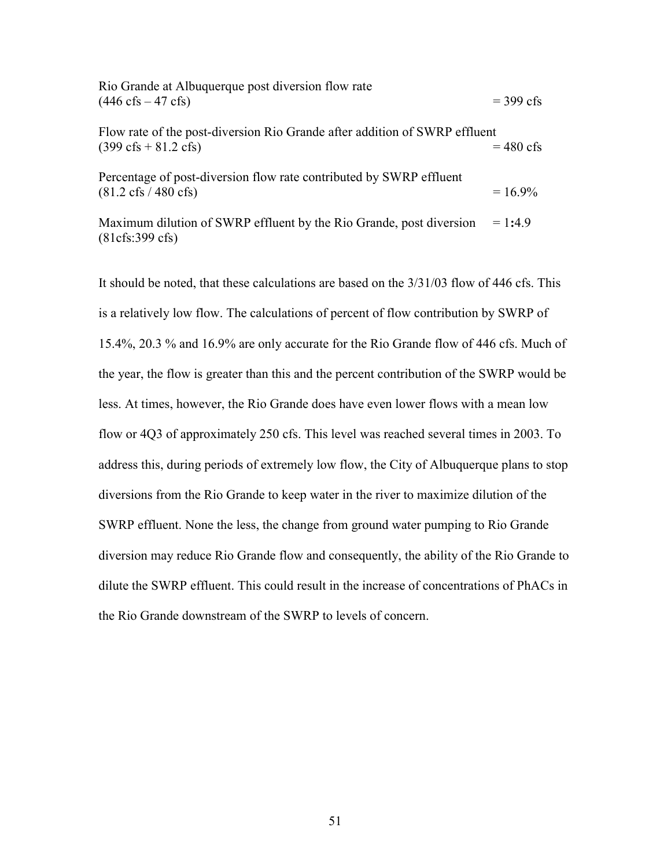| Rio Grande at Albuquerque post diversion flow rate<br>$(446 \text{ cfs} - 47 \text{ cfs})$                           | $=$ 399 cfs         |
|----------------------------------------------------------------------------------------------------------------------|---------------------|
| Flow rate of the post-diversion Rio Grande after addition of SWRP effluent<br>$(399 \text{ cfs} + 81.2 \text{ cfs})$ | $= 480 \text{ cfs}$ |
| Percentage of post-diversion flow rate contributed by SWRP effluent<br>$(81.2 \text{ cfs} / 480 \text{ cfs})$        | $= 16.9\%$          |
| Maximum dilution of SWRP effluent by the Rio Grande, post diversion<br>(81cfs:399 cfs)                               | $= 1:4.9$           |

It should be noted, that these calculations are based on the 3/31/03 flow of 446 cfs. This is a relatively low flow. The calculations of percent of flow contribution by SWRP of 15.4%, 20.3 % and 16.9% are only accurate for the Rio Grande flow of 446 cfs. Much of the year, the flow is greater than this and the percent contribution of the SWRP would be less. At times, however, the Rio Grande does have even lower flows with a mean low flow or 4Q3 of approximately 250 cfs. This level was reached several times in 2003. To address this, during periods of extremely low flow, the City of Albuquerque plans to stop diversions from the Rio Grande to keep water in the river to maximize dilution of the SWRP effluent. None the less, the change from ground water pumping to Rio Grande diversion may reduce Rio Grande flow and consequently, the ability of the Rio Grande to dilute the SWRP effluent. This could result in the increase of concentrations of PhACs in the Rio Grande downstream of the SWRP to levels of concern.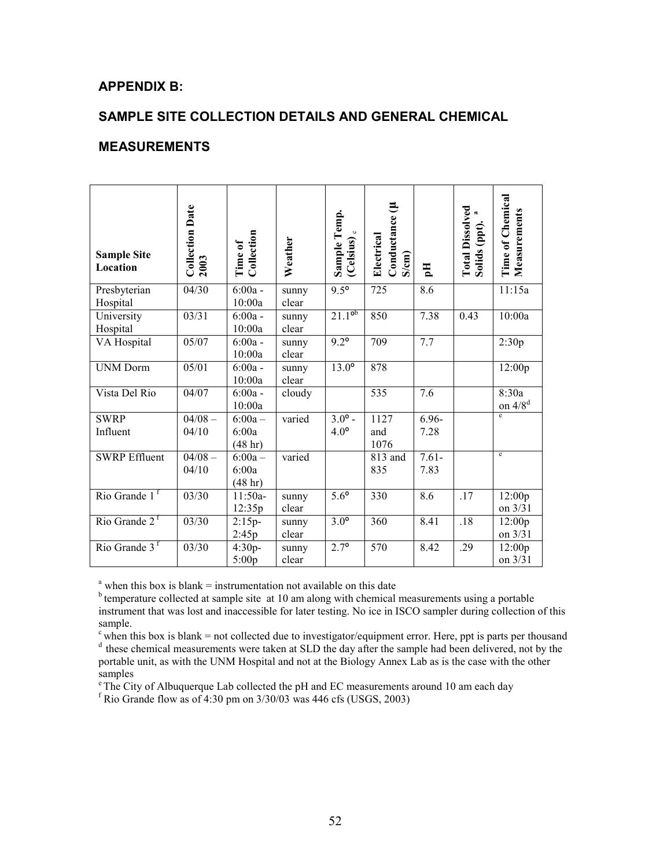## **APPENDIX B:**

## **SAMPLE SITE COLLECTION DETAILS AND GENERAL CHEMICAL**

## **MEASUREMENTS**

| <b>Sample Site</b><br>Location | <b>Collection Date</b><br>2003 | Collection<br>Time of         | Weather        | Sample Temp.<br>(Celsius) <sub>c</sub> | Conductance (µ<br>Electrical<br>S/cm | $\mathbf{H}$     | Total Dissolved<br>Solids (ppt). <sup>a</sup> | <b>Time of Chemical</b><br>Measurements |
|--------------------------------|--------------------------------|-------------------------------|----------------|----------------------------------------|--------------------------------------|------------------|-----------------------------------------------|-----------------------------------------|
| Presbyterian<br>Hospital       | 04/30                          | $6:00a -$<br>10:00a           | sunny<br>clear | $9.5^{\circ}$                          | 725                                  | 8.6              |                                               | 11:15a                                  |
| University<br>Hospital         | 03/31                          | $6:00a -$<br>10:00a           | sunny<br>clear | $21.1^{ob}$                            | 850                                  | 7.38             | 0.43                                          | 10:00a                                  |
| VA Hospital                    | 05/07                          | $6:00a -$<br>10:00a           | sunny<br>clear | $9.2^{\circ}$                          | 709                                  | 7.7              |                                               | 2:30p                                   |
| <b>UNM Dorm</b>                | 05/01                          | $6:00a -$<br>10:00a           | sunny<br>clear | $13.0^\circ$                           | 878                                  |                  |                                               | 12:00p                                  |
| Vista Del Rio                  | 04/07                          | $6:00a -$<br>10:00a           | cloudy         |                                        | 535                                  | 7.6              |                                               | 8:30a<br>on $4/8^d$                     |
| <b>SWRP</b><br>Influent        | $04/08 -$<br>04/10             | $6:00a -$<br>6:00a<br>(48 hr) | varied         | $3.0^{\circ}$ -<br>4.0 <sup>o</sup>    | 1127<br>and<br>1076                  | $6.96 -$<br>7.28 |                                               | e                                       |
| <b>SWRP Effluent</b>           | $04/08 -$<br>04/10             | $6:00a -$<br>6:00a<br>(48 hr) | varied         |                                        | 813 and<br>835                       | $7.61 -$<br>7.83 |                                               | e                                       |
| Rio Grande $1f$                | 03/30                          | $11:50a-$<br>12:35p           | sunny<br>clear | $5.6^\circ$                            | 330                                  | 8.6              | $\overline{.17}$                              | 12:00p<br>on 3/31                       |
| Rio Grande 2 <sup>f</sup>      | 03/30                          | $2:15p-$<br>2:45p             | sunny<br>clear | $3.0^\circ$                            | 360                                  | 8.41             | .18                                           | 12:00p<br>on 3/31                       |
| Rio Grande $3f$                | 03/30                          | $4:30p-$<br>5:00p             | sunny<br>clear | $2.7^{\circ}$                          | 570                                  | 8.42             | .29                                           | 12:00p<br>on 3/31                       |

 $a<sup>a</sup>$  when this box is blank = instrumentation not available on this date

 $<sup>b</sup>$  temperature collected at sample site at 10 am along with chemical measurements using a portable</sup> instrument that was lost and inaccessible for later testing. No ice in ISCO sampler during collection of this sample.

 $\epsilon$  when this box is blank = not collected due to investigator/equipment error. Here, ppt is parts per thousand

<sup>d</sup> these chemical measurements were taken at SLD the day after the sample had been delivered, not by the portable unit, as with the UNM Hospital and not at the Biology Annex Lab as is the case with the other samples

<sup>e</sup> The City of Albuquerque Lab collected the pH and EC measurements around 10 am each day

 $f$  Rio Grande flow as of 4:30 pm on 3/30/03 was 446 cfs (USGS, 2003)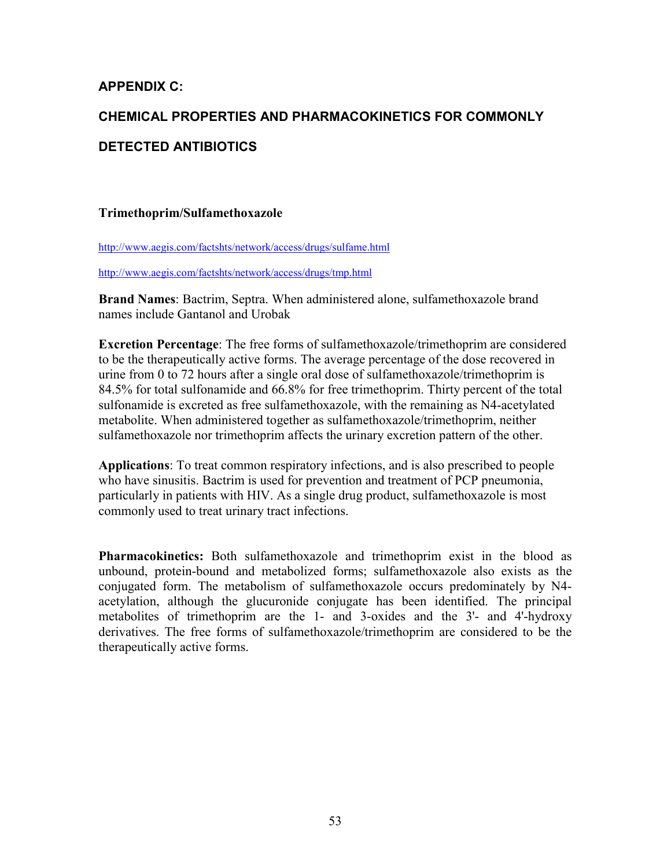# **APPENDIX C:**

# **CHEMICAL PROPERTIES AND PHARMACOKINETICS FOR COMMONLY DETECTED ANTIBIOTICS**

## **Trimethoprim/Sulfamethoxazole**

http://www.aegis.com/factshts/network/access/drugs/sulfame.html

http://www.aegis.com/factshts/network/access/drugs/tmp.html

**Brand Names**: Bactrim, Septra. When administered alone, sulfamethoxazole brand names include Gantanol and Urobak

**Excretion Percentage**: The free forms of sulfamethoxazole/trimethoprim are considered to be the therapeutically active forms. The average percentage of the dose recovered in urine from 0 to 72 hours after a single oral dose of sulfamethoxazole/trimethoprim is 84.5% for total sulfonamide and 66.8% for free trimethoprim. Thirty percent of the total sulfonamide is excreted as free sulfamethoxazole, with the remaining as N4-acetylated metabolite. When administered together as sulfamethoxazole/trimethoprim, neither sulfamethoxazole nor trimethoprim affects the urinary excretion pattern of the other.

**Applications**: To treat common respiratory infections, and is also prescribed to people who have sinusitis. Bactrim is used for prevention and treatment of PCP pneumonia, particularly in patients with HIV. As a single drug product, sulfamethoxazole is most commonly used to treat urinary tract infections.

**Pharmacokinetics:** Both sulfamethoxazole and trimethoprim exist in the blood as unbound, protein-bound and metabolized forms; sulfamethoxazole also exists as the conjugated form. The metabolism of sulfamethoxazole occurs predominately by N4 acetylation, although the glucuronide conjugate has been identified. The principal metabolites of trimethoprim are the 1- and 3-oxides and the 3'- and 4'-hydroxy derivatives. The free forms of sulfamethoxazole/trimethoprim are considered to be the therapeutically active forms.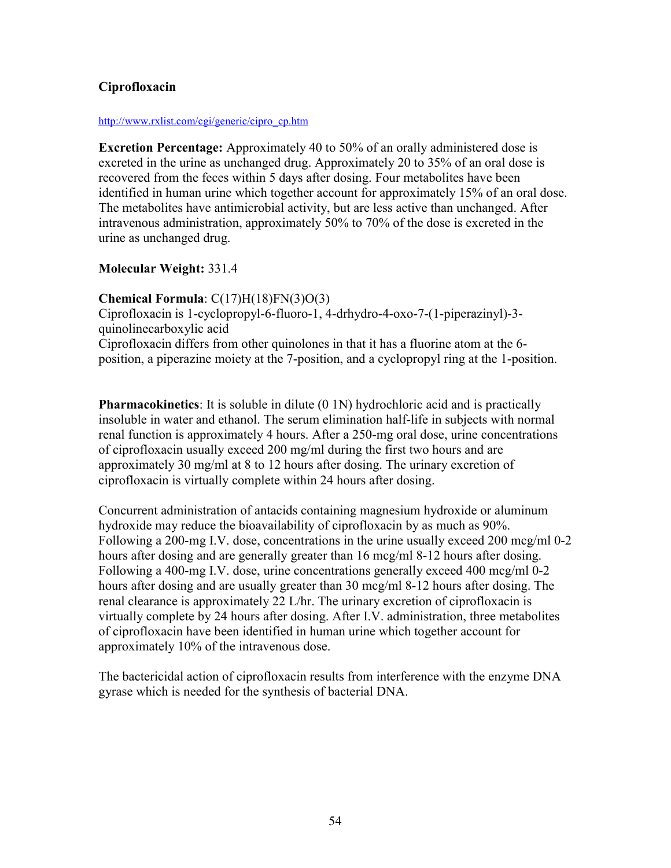## **Ciprofloxacin**

#### http://www.rxlist.com/cgi/generic/cipro\_cp.htm

**Excretion Percentage:** Approximately 40 to 50% of an orally administered dose is excreted in the urine as unchanged drug. Approximately 20 to 35% of an oral dose is recovered from the feces within 5 days after dosing. Four metabolites have been identified in human urine which together account for approximately 15% of an oral dose. The metabolites have antimicrobial activity, but are less active than unchanged. After intravenous administration, approximately 50% to 70% of the dose is excreted in the urine as unchanged drug.

### **Molecular Weight:** 331.4

### **Chemical Formula**: C(17)H(18)FN(3)O(3)

Ciprofloxacin is 1-cyclopropyl-6-fluoro-1, 4-drhydro-4-oxo-7-(1-piperazinyl)-3 quinolinecarboxylic acid Ciprofloxacin differs from other quinolones in that it has a fluorine atom at the 6 position, a piperazine moiety at the 7-position, and a cyclopropyl ring at the 1-position.

**Pharmacokinetics**: It is soluble in dilute (0 1N) hydrochloric acid and is practically insoluble in water and ethanol. The serum elimination half-life in subjects with normal renal function is approximately 4 hours. After a 250-mg oral dose, urine concentrations of ciprofloxacin usually exceed 200 mg/ml during the first two hours and are approximately 30 mg/ml at 8 to 12 hours after dosing. The urinary excretion of ciprofloxacin is virtually complete within 24 hours after dosing.

Concurrent administration of antacids containing magnesium hydroxide or aluminum hydroxide may reduce the bioavailability of ciprofloxacin by as much as 90%. Following a 200-mg I.V. dose, concentrations in the urine usually exceed 200 mcg/ml 0-2 hours after dosing and are generally greater than 16 mcg/ml 8-12 hours after dosing. Following a 400-mg I.V. dose, urine concentrations generally exceed 400 mcg/ml 0-2 hours after dosing and are usually greater than 30 mcg/ml 8-12 hours after dosing. The renal clearance is approximately 22 L/hr. The urinary excretion of ciprofloxacin is virtually complete by 24 hours after dosing. After I.V. administration, three metabolites of ciprofloxacin have been identified in human urine which together account for approximately 10% of the intravenous dose.

The bactericidal action of ciprofloxacin results from interference with the enzyme DNA gyrase which is needed for the synthesis of bacterial DNA.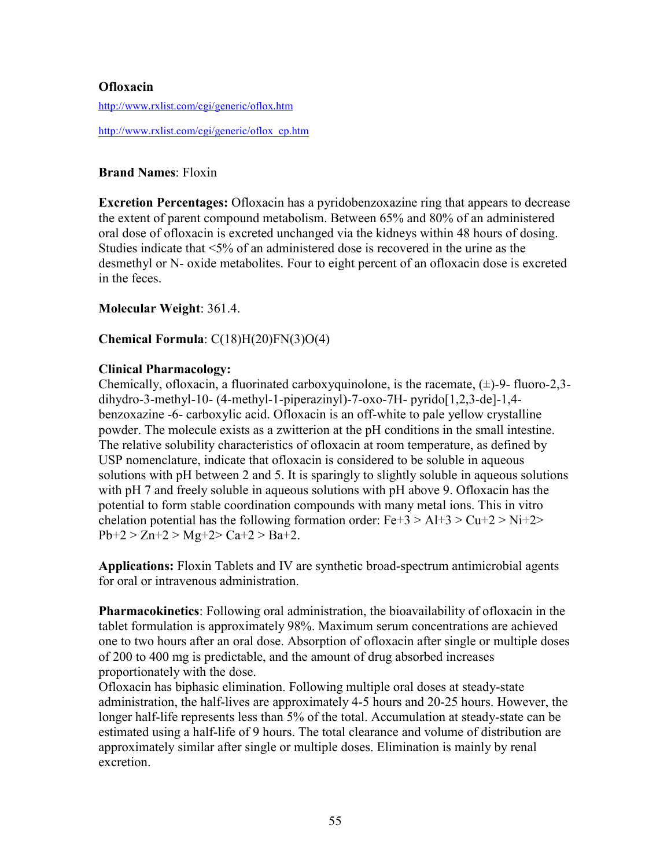### **Ofloxacin**

http://www.rxlist.com/cgi/generic/oflox.htm

http://www.rxlist.com/cgi/generic/oflox\_cp.htm

#### **Brand Names**: Floxin

**Excretion Percentages:** Ofloxacin has a pyridobenzoxazine ring that appears to decrease the extent of parent compound metabolism. Between 65% and 80% of an administered oral dose of ofloxacin is excreted unchanged via the kidneys within 48 hours of dosing. Studies indicate that <5% of an administered dose is recovered in the urine as the desmethyl or N- oxide metabolites. Four to eight percent of an ofloxacin dose is excreted in the feces.

**Molecular Weight**: 361.4.

### **Chemical Formula**: C(18)H(20)FN(3)O(4)

#### **Clinical Pharmacology:**

Chemically, of loxacin, a fluorinated carboxyquinolone, is the racemate,  $(\pm)$ -9- fluoro-2,3dihydro-3-methyl-10- (4-methyl-1-piperazinyl)-7-oxo-7H- pyrido[1,2,3-de]-1,4 benzoxazine -6- carboxylic acid. Ofloxacin is an off-white to pale yellow crystalline powder. The molecule exists as a zwitterion at the pH conditions in the small intestine. The relative solubility characteristics of ofloxacin at room temperature, as defined by USP nomenclature, indicate that ofloxacin is considered to be soluble in aqueous solutions with pH between 2 and 5. It is sparingly to slightly soluble in aqueous solutions with pH 7 and freely soluble in aqueous solutions with pH above 9. Ofloxacin has the potential to form stable coordination compounds with many metal ions. This in vitro chelation potential has the following formation order:  $Fe+3 > Al+3 > Cu+2 > Ni+2>$  $Pb+2 > Zn+2 > Mg+2 > Ca+2 > Ba+2$ .

**Applications:** Floxin Tablets and IV are synthetic broad-spectrum antimicrobial agents for oral or intravenous administration.

**Pharmacokinetics**: Following oral administration, the bioavailability of ofloxacin in the tablet formulation is approximately 98%. Maximum serum concentrations are achieved one to two hours after an oral dose. Absorption of ofloxacin after single or multiple doses of 200 to 400 mg is predictable, and the amount of drug absorbed increases proportionately with the dose.

Ofloxacin has biphasic elimination. Following multiple oral doses at steady-state administration, the half-lives are approximately 4-5 hours and 20-25 hours. However, the longer half-life represents less than 5% of the total. Accumulation at steady-state can be estimated using a half-life of 9 hours. The total clearance and volume of distribution are approximately similar after single or multiple doses. Elimination is mainly by renal excretion.